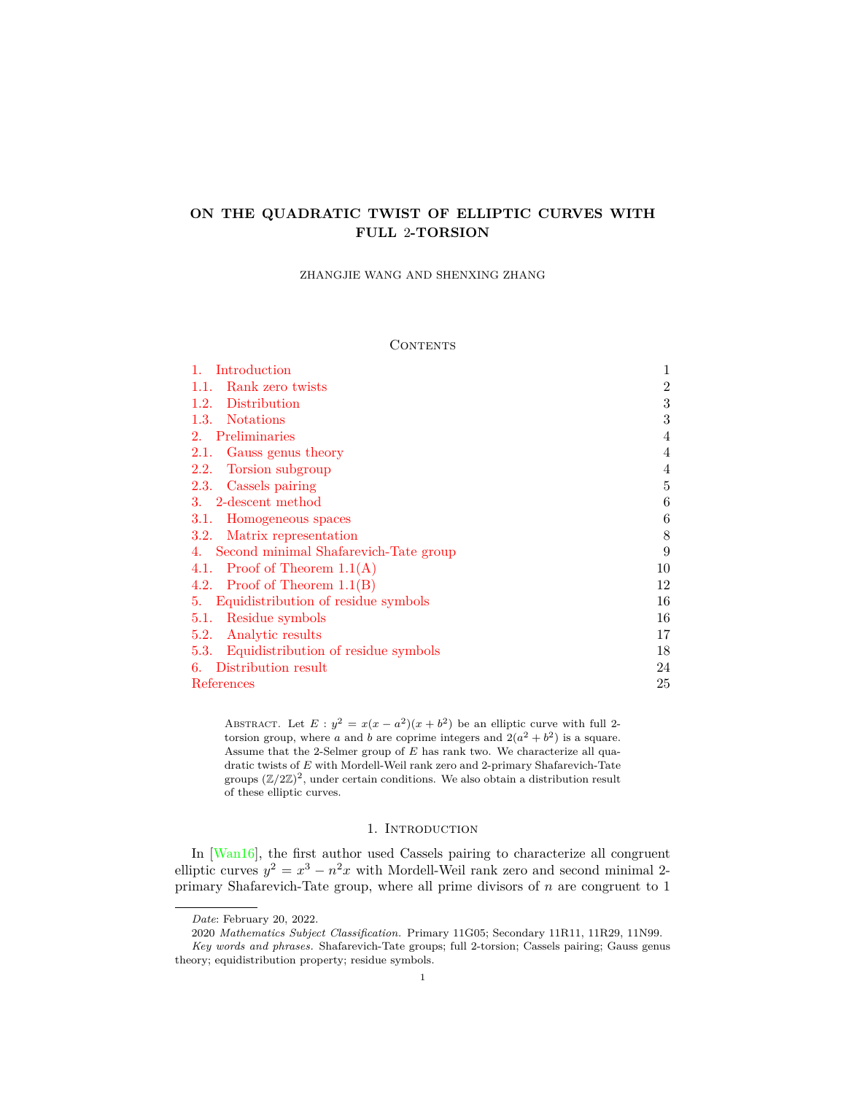# **ON THE QUADRATIC TWIST OF ELLIPTIC CURVES WITH FULL** 2**-TORSION**

ZHANGJIE WANG AND SHENXING ZHANG

### **CONTENTS**

| Introduction                                | 1              |
|---------------------------------------------|----------------|
| Rank zero twists<br>1.1.                    | $\overline{2}$ |
| Distribution<br>1.2.                        | 3              |
| 1.3. Notations                              | 3              |
| Preliminaries<br>$2^{\circ}$                | 4              |
| Gauss genus theory<br>2.1.                  | $\overline{4}$ |
| Torsion subgroup<br>2.2.                    |                |
| Cassels pairing<br>2.3.                     | 5              |
| 3. 2-descent method                         | 6              |
| 3.1.<br>Homogeneous spaces                  | 6              |
| 3.2. Matrix representation                  | 8              |
| Second minimal Shafarevich-Tate group<br>4. | 9              |
| 4.1. Proof of Theorem $1.1(A)$              | 10             |
| 4.2. Proof of Theorem $1.1(B)$              | 12             |
| Equidistribution of residue symbols<br>5.   | 16             |
| Residue symbols<br>5.1.                     | 16             |
| Analytic results<br>5.2.                    | 17             |
| 5.3. Equidistribution of residue symbols    | 18             |
| Distribution result<br>6.                   | 24             |
| References                                  | 25             |

ABSTRACT. Let  $E: y^2 = x(x - a^2)(x + b^2)$  be an elliptic curve with full 2torsion group, where *a* and *b* are coprime integers and  $2(a^2 + b^2)$  is a square. Assume that the 2-Selmer group of *E* has rank two. We characterize all quadratic twists of *E* with Mordell-Weil rank zero and 2-primary Shafarevich-Tate groups  $(\mathbb{Z}/2\mathbb{Z})^2$ , under certain conditions. We also obtain a distribution result of these elliptic curves.

# 1. INTRODUCTION

<span id="page-0-0"></span>In [[Wan16](#page-25-0)], the first author used Cassels pairing to characterize all congruent elliptic curves  $y^2 = x^3 - n^2x$  with Mordell-Weil rank zero and second minimal 2primary Shafarevich-Tate group, where all prime divisors of *n* are congruent to 1

*Date*: February 20, 2022.

<sup>2020</sup> *Mathematics Subject Classification.* Primary 11G05; Secondary 11R11, 11R29, 11N99. *Key words and phrases.* Shafarevich-Tate groups; full 2-torsion; Cassels pairing; Gauss genus theory; equidistribution property; residue symbols.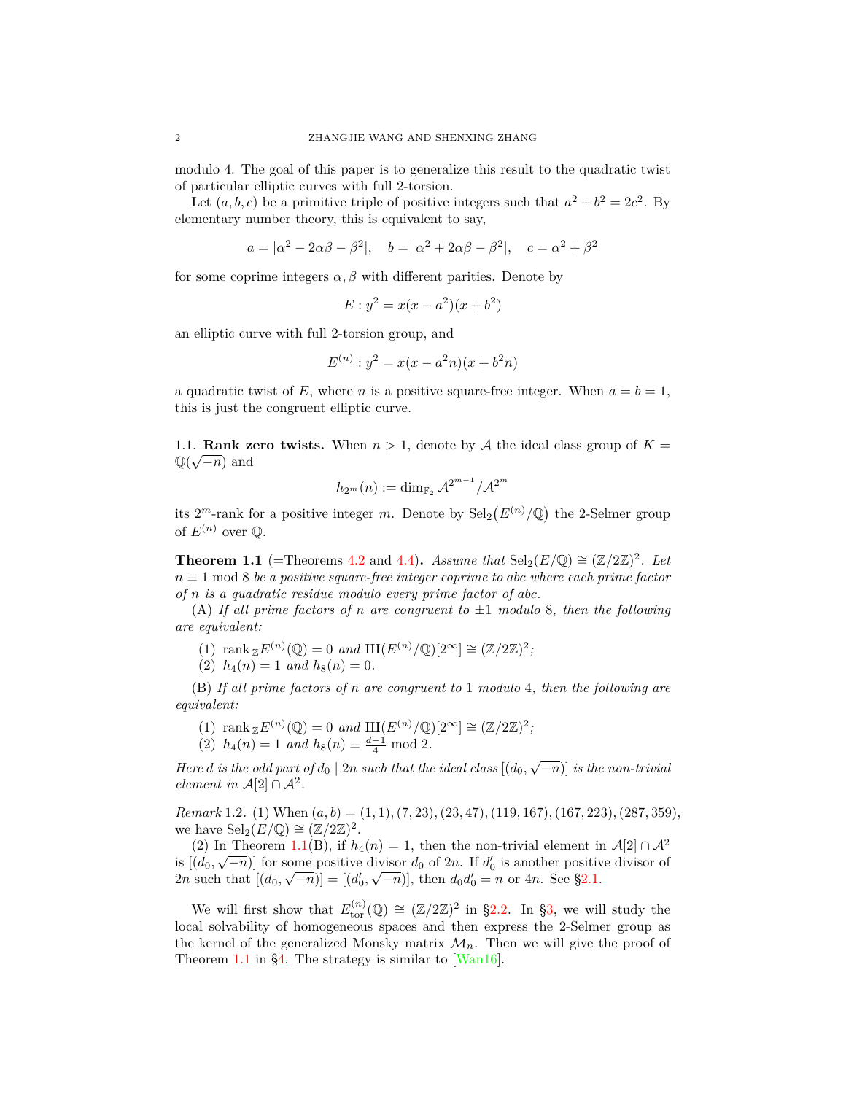modulo 4. The goal of this paper is to generalize this result to the quadratic twist of particular elliptic curves with full 2-torsion.

Let  $(a, b, c)$  be a primitive triple of positive integers such that  $a^2 + b^2 = 2c^2$ . By elementary number theory, this is equivalent to say,

$$
a=|\alpha^2-2\alpha\beta-\beta^2|,\quad b=|\alpha^2+2\alpha\beta-\beta^2|,\quad c=\alpha^2+\beta^2
$$

for some coprime integers  $\alpha$ ,  $\beta$  with different parities. Denote by

$$
E: y^2 = x(x - a^2)(x + b^2)
$$

an elliptic curve with full 2-torsion group, and

$$
E^{(n)}: y^2 = x(x - a^2n)(x + b^2n)
$$

a quadratic twist of  $E$ , where  $n$  is a positive square-free integer. When  $a = b = 1$ , this is just the congruent elliptic curve.

<span id="page-1-0"></span>1.1. **Rank zero twists.** When  $n > 1$ , denote by *A* the ideal class group of  $K = \mathbb{Q}(\sqrt{m})$ Q( *−n*) and

$$
h_{2^m}(n):=\dim_{\mathbb{F}_2}\mathcal{A}^{2^{m-1}}/\mathcal{A}^{2^m}
$$

its  $2^m$ -rank for a positive integer *m*. Denote by  $\text{Sel}_2(E^{(n)}/\mathbb{Q})$  the 2-Selmer group of  $E^{(n)}$  over  $\mathbb{Q}$ .

<span id="page-1-1"></span>**Theorem 1.1** (=Theorems [4.2](#page-9-1) and [4.4\)](#page-12-0)**.** *Assume that*  $\text{Sel}_2(E/\mathbb{Q}) \cong (\mathbb{Z}/2\mathbb{Z})^2$ *. Let n ≡* 1 mod 8 *be a positive square-free integer coprime to abc where each prime factor of n is a quadratic residue modulo every prime factor of abc.*

(A) *If all prime factors of n are congruent to ±*1 *modulo* 8*, then the following are equivalent:*

- (1)  $\text{rank}_{\mathbb{Z}} E^{(n)}(\mathbb{Q}) = 0 \text{ and } \text{III}(E^{(n)}/\mathbb{Q})[2^{\infty}] \cong (\mathbb{Z}/2\mathbb{Z})^2;$
- (2)  $h_4(n) = 1$  *and*  $h_8(n) = 0$ .

(B) *If all prime factors of n are congruent to* 1 *modulo* 4*, then the following are equivalent:*

- (1)  $\text{rank}_{\mathbb{Z}} E^{(n)}(\mathbb{Q}) = 0 \text{ and } \text{III}(E^{(n)}/\mathbb{Q})[2^{\infty}] \cong (\mathbb{Z}/2\mathbb{Z})^2;$
- (2)  $h_4(n) = 1$  *and*  $h_8(n) \equiv \frac{d-1}{4} \mod 2$ .

*Here d is the odd part of*  $d_0 \mid 2n$  *such that the ideal class*  $[(d_0, \sqrt{-n})]$  *is the non-trivial element in*  $\mathcal{A}[2] \cap \mathcal{A}^2$ .

*Remark* 1.2*.* (1) When (*a, b*) = (1*,* 1)*,*(7*,* 23)*,*(23*,* 47)*,*(119*,* 167)*,*(167*,* 223)*,*(287*,* 359), we have  $\operatorname{Sel}_2(E/\mathbb{Q}) \cong (\mathbb{Z}/2\mathbb{Z})^2$ .

(2) In Theorem [1.1](#page-1-1)(B), if  $h_4(n) = 1$ , then the non-trivial element in  $\mathcal{A}[2] \cap \mathcal{A}^2$ is  $[(d_0, \sqrt{-n})]$  for some positive divisor  $d_0$  of 2*n*. If  $d'_0$  is another positive divisor of 2*n* such that  $[(d_0, \sqrt{-n})] = [(d'_0, \sqrt{-n})]$ , then  $d_0d'_0 = n$  or 4*n*. See §[2.1](#page-3-1).

We will first show that  $E_{\text{tor}}^{(n)}(\mathbb{Q}) \cong (\mathbb{Z}/2\mathbb{Z})^2$  in §[2.2](#page-3-2). In §[3,](#page-5-0) we will study the local solvability of homogeneous spaces and then express the 2-Selmer group as the kernel of the generalized Monsky matrix  $\mathcal{M}_n$ . Then we will give the proof of Theorem [1.1](#page-1-1) in [§4](#page-8-0). The strategy is similar to [\[Wan16](#page-25-0)].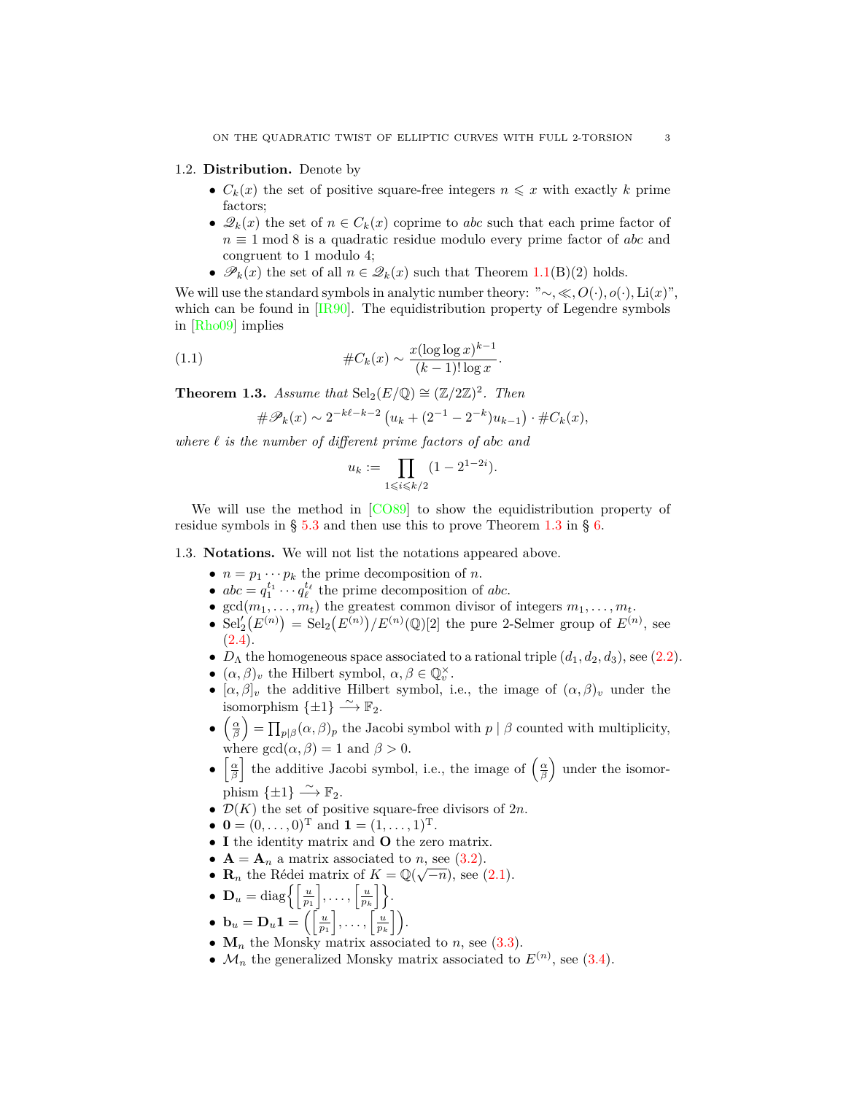#### <span id="page-2-0"></span>1.2. **Distribution.** Denote by

- $C_k(x)$  the set of positive square-free integers  $n \leq x$  with exactly *k* prime factors;
- $\mathscr{Q}_k(x)$  the set of  $n \in C_k(x)$  coprime to *abc* such that each prime factor of *n* ≡ 1 mod 8 is a quadratic residue modulo every prime factor of *abc* and congruent to 1 modulo 4;
- $\mathscr{P}_k(x)$  the set of all  $n \in \mathscr{Q}_k(x)$  such that Theorem [1.1](#page-1-1)(B)(2) holds.

We will use the standard symbols in analytic number theory: "*∼, , O*(*·*)*, o*(*·*)*,* Li(*x*)", which can be found in [\[IR90](#page-25-1)]. The equidistribution property of Legendre symbols in [\[Rho09\]](#page-25-2) implies

*.*

(1.1) 
$$
\#C_k(x) \sim \frac{x(\log \log x)^{k-1}}{(k-1)!\log x}
$$

<span id="page-2-2"></span>**Theorem 1.3.** *Assume that*  $\text{Sel}_2(E/\mathbb{Q}) \cong (\mathbb{Z}/2\mathbb{Z})^2$ *. Then* 

<span id="page-2-3"></span>
$$
\#\mathscr{P}_k(x) \sim 2^{-k\ell - k - 2} \left( u_k + (2^{-1} - 2^{-k}) u_{k-1} \right) \cdot \#C_k(x),
$$

*where ℓ is the number of different prime factors of abc and*

$$
u_k := \prod_{1 \leq i \leq k/2} (1 - 2^{1 - 2i}).
$$

We will use the method in  $[CO89]$  to show the equidistribution property of residue symbols in § [5.3](#page-17-0) and then use this to prove Theorem [1.3](#page-2-2) in § [6.](#page-23-0)

<span id="page-2-1"></span>1.3. **Notations.** We will not list the notations appeared above.

- $n = p_1 \cdots p_k$  the prime decomposition of *n*.
- $abc = q_1^{t_1} \cdots q_\ell^{t_\ell}$  the prime decomposition of *abc*.
- $gcd(m_1, \ldots, m_t)$  the greatest common divisor of integers  $m_1, \ldots, m_t$ .
- $\text{Sel}'_2(E^{(n)}) = \text{Sel}_2(E^{(n)})/E^{(n)}(\mathbb{Q})[2]$  the pure 2-Selmer group of  $E^{(n)}$ , see  $(2.4).$  $(2.4).$
- $D_{\Lambda}$  the homogeneous space associated to a rational triple  $(d_1, d_2, d_3)$ , see ([2.2\)](#page-4-2).
- $(\alpha, \beta)_v$  the Hilbert symbol,  $\alpha, \beta \in \mathbb{Q}_v^\times$ .
- $[\alpha, \beta]_v$  the additive Hilbert symbol, i.e., the image of  $(\alpha, \beta)_v$  under the isomorphism  $\{\pm 1\} \stackrel{\sim}{\longrightarrow} \mathbb{F}_2$ .
- **•**  $\left(\frac{\alpha}{\beta}\right) = \prod_{p|\beta} (\alpha, \beta)_p$  the Jacobi symbol with *p* | *β* counted with multiplicity, where  $gcd(\alpha, \beta) = 1$  and  $\beta > 0$ .
- $\left[\frac{\alpha}{\beta}\right]$  the additive Jacobi symbol, i.e., the image of  $\left(\frac{\alpha}{\beta}\right)$  under the isomorphism  $\{\pm 1\} \stackrel{\sim}{\longrightarrow} \mathbb{F}_2$ .
- *• D*(*K*) the set of positive square-free divisors of 2*n*.
- $\mathbf{0} = (0, \ldots, 0)^{\mathrm{T}}$  and  $\mathbf{1} = (1, \ldots, 1)^{\mathrm{T}}$ .
- *•* **I** the identity matrix and **O** the zero matrix.
- $A = A_n$  a matrix associated to *n*, see [\(3.2\)](#page-8-1).
- $A = A_n$  a matrix associated to *n*, see (3.2).<br>•  $\mathbf{R}_n$  the Rédei matrix of  $K = \mathbb{Q}(\sqrt{-n})$ , see [\(2.1](#page-3-3)).
- $\mathbf{D}_u = \text{diag}\bigg\{\bigg[\frac{u}{p_1}\bigg], \ldots, \bigg[\frac{u}{p_k}\bigg]\bigg\}.$
- $\bullet \mathbf{b}_u = \mathbf{D}_u \mathbf{1} = \left( \left\lceil \frac{u}{p_1} \right\rceil, \ldots, \left\lceil \frac{u}{p_k} \right\rceil \right).$
- $M_n$  the Monsky matrix associated to *n*, see ([3.3](#page-8-2)).
- $\mathcal{M}_n$  the generalized Monsky matrix associated to  $E^{(n)}$ , see ([3.4](#page-8-3)).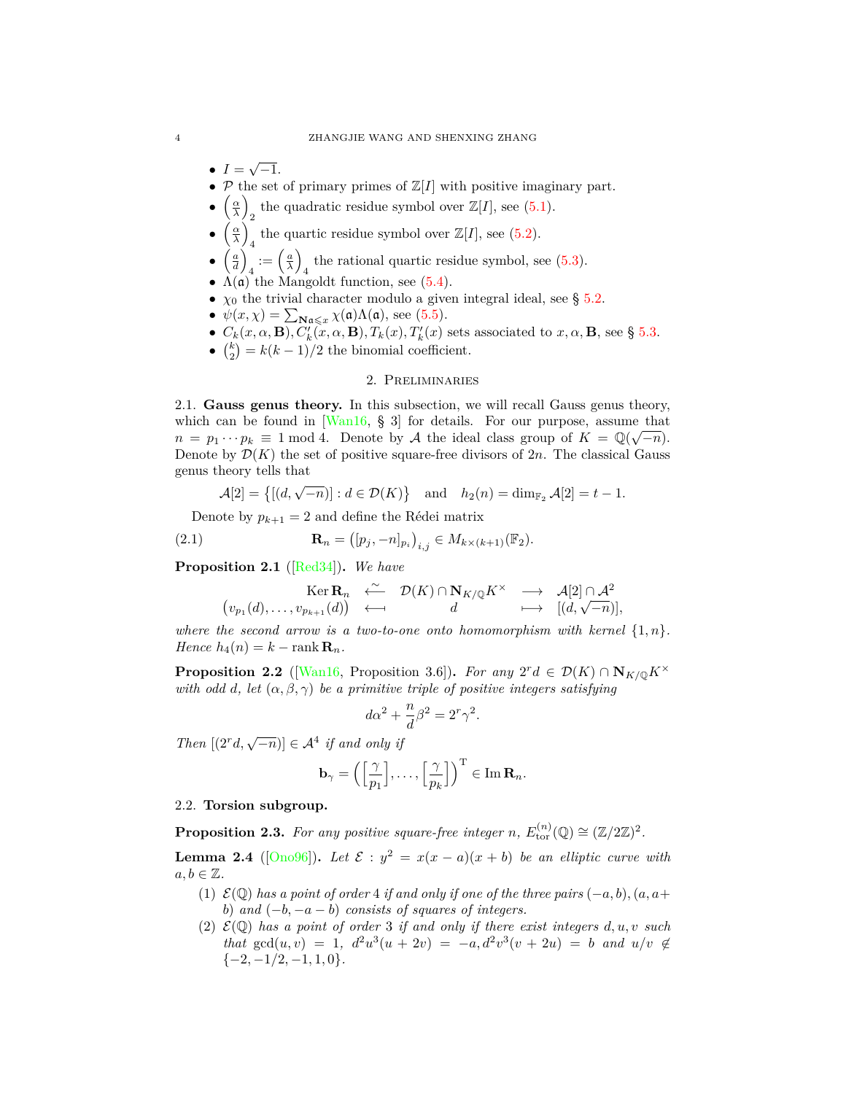- $I = \sqrt{-1}.$
- $P$  the set of primary primes of  $\mathbb{Z}[I]$  with positive imaginary part.
- $\left(\frac{\alpha}{\lambda}\right)$ the quadratic residue symbol over  $\mathbb{Z}[I]$ , see ([5.1\)](#page-15-2).
- $\left(\frac{\alpha}{\lambda}\right)$ the quartic residue symbol over  $\mathbb{Z}[I]$ , see [\(5.2](#page-15-3)).
- $\left(\frac{a}{d}\right)$  $\alpha_4 := \left(\frac{a}{\lambda}\right)$ 4 the rational quartic residue symbol, see [\(5.3](#page-15-4)).
- $\Lambda(\mathfrak{a})$  the Mangoldt function, see [\(5.4](#page-16-1)).
- $\chi_0$  the trivial character modulo a given integral ideal, see § [5.2](#page-16-0).
- $\psi(x, \chi) = \sum_{\mathbf{N}\mathfrak{a}\leqslant x} \chi(\mathfrak{a})\Lambda(\mathfrak{a})$ , see ([5.5\)](#page-16-2).
- $C_k(x, \alpha, \mathbf{B}), C'_k(x, \alpha, \mathbf{B}), T_k(x), T'_k(x)$  sets associated to  $x, \alpha, \mathbf{B}$ , see § [5.3](#page-17-0).
- $\binom{k}{2} = k(k-1)/2$  the binomial coefficient.

# 2. Preliminaries

<span id="page-3-1"></span><span id="page-3-0"></span>2.1. **Gauss genus theory.** In this subsection, we will recall Gauss genus theory, which can be found in  $\left[\frac{\text{Wan}16}{\text{Nan}16}, \frac{6}{\text{N}}\right]$  for details. For our purpose, assume that  $n = p_1 \cdots p_k \equiv 1 \mod 4$ . Denote by *A* the ideal class group of  $K = \mathbb{Q}(\sqrt{-n})$ . Denote by  $\mathcal{D}(K)$  the set of positive square-free divisors of  $2n$ . The classical Gauss genus theory tells that

<span id="page-3-3"></span>
$$
\mathcal{A}[2] = \{[(d,\sqrt{-n})]: d \in \mathcal{D}(K)\} \text{ and } h_2(n) = \dim_{\mathbb{F}_2} \mathcal{A}[2] = t - 1.
$$

Denote by  $p_{k+1} = 2$  and define the Rédei matrix

(2.1) 
$$
\mathbf{R}_n = ([p_j, -n]_{p_i})_{i,j} \in M_{k \times (k+1)}(\mathbb{F}_2).
$$

<span id="page-3-6"></span>**Proposition 2.1** ([[Red34\]](#page-25-3))**.** *We have*

$$
\begin{array}{rcl}\n\operatorname{Ker} \mathbf{R}_{n} & \xleftarrow{\sim} & \mathcal{D}(K) \cap \mathbf{N}_{K/\mathbb{Q}} K^{\times} & \longrightarrow & \mathcal{A}[2] \cap \mathcal{A}^{2} \\
(v_{p_1}(d), \dots, v_{p_{k+1}}(d)) & \longleftarrow & d & \longmapsto & [ (d, \sqrt{-n})],\n\end{array}
$$

*where the second arrow is a two-to-one onto homomorphism with kernel*  $\{1,n\}$ *.*  $Hence h_4(n) = k - \text{rank } \mathbf{R}_n$ .

<span id="page-3-7"></span>**Proposition 2.2** ([\[Wan16,](#page-25-0) Proposition 3.6])**.** *For any*  $2^r d \in \mathcal{D}(K) \cap \mathbf{N}_{K/\mathbb{Q}} K^\times$ *with odd d, let*  $(\alpha, \beta, \gamma)$  *be a primitive triple of positive integers satisfying* 

$$
d\alpha^2 + \frac{n}{d}\beta^2 = 2^r\gamma^2.
$$

*Then*  $[(2^r d, \sqrt{-n})] \in \mathcal{A}^4$  *if and only if* 

$$
\mathbf{b}_{\gamma} = \left( \left[ \frac{\gamma}{p_1} \right], \ldots, \left[ \frac{\gamma}{p_k} \right] \right)^{\mathrm{T}} \in \mathrm{Im} \, \mathbf{R}_n.
$$

# <span id="page-3-2"></span>2.2. **Torsion subgroup.**

<span id="page-3-4"></span>**Proposition 2.3.** For any positive square-free integer *n*,  $E_{\text{tor}}^{(n)}(\mathbb{Q}) \cong (\mathbb{Z}/2\mathbb{Z})^2$ .

<span id="page-3-5"></span>**Lemma 2.4** ([[Ono96](#page-25-4)]). Let  $\mathcal{E} : y^2 = x(x - a)(x + b)$  be an elliptic curve with  $a, b \in \mathbb{Z}$ .

- (1) *E*(Q) *has a point of order* 4 *if and only if one of the three pairs* (*−a, b*)*,*(*a, a*+ *b*) *and* (*−b, −a − b*) *consists of squares of integers.*
- (2)  $\mathcal{E}(\mathbb{Q})$  *has a point of order* 3 *if and only if there exist integers*  $d, u, v$  *such that*  $gcd(u, v) = 1$ ,  $d^2u^3(u + 2v) = -a$ ,  $d^2v^3(v + 2u) = b$  *and*  $u/v \notin$ *{−*2*, −*1*/*2*, −*1*,* 1*,* 0*}.*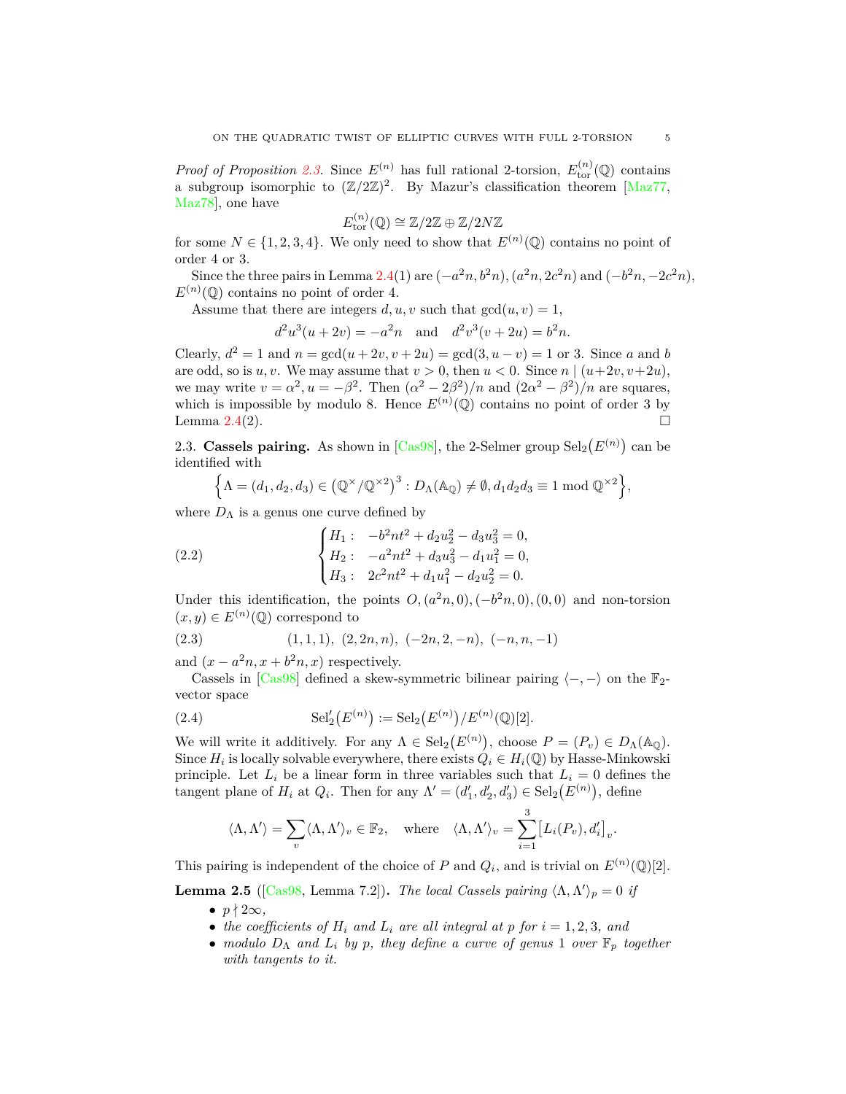*Proof of Proposition* [2.3](#page-3-4). Since  $E^{(n)}$  has full rational 2-torsion,  $E^{(n)}_{\text{tor}}(\mathbb{Q})$  contains a subgroup isomorphic to  $(\mathbb{Z}/2\mathbb{Z})^2$ . By Mazur's classification theorem [\[Maz77,](#page-25-5) [Maz78](#page-25-6)], one have

$$
E_{\mathrm{tor}}^{(n)}(\mathbb{Q}) \cong \mathbb{Z}/2\mathbb{Z} \oplus \mathbb{Z}/2N\mathbb{Z}
$$

for some  $N \in \{1, 2, 3, 4\}$ . We only need to show that  $E^{(n)}(\mathbb{Q})$  contains no point of order 4 or 3.

Since the three pairs in Lemma [2.4\(](#page-3-5)1) are  $(-a^2n, b^2n)$ ,  $(a^2n, 2c^2n)$  and  $(-b^2n, -2c^2n)$ ,  $E^{(n)}(\mathbb{Q})$  contains no point of order 4.

Assume that there are integers  $d, u, v$  such that  $gcd(u, v) = 1$ ,

$$
d^2u^3(u+2v) = -a^2n
$$
 and  $d^2v^3(v+2u) = b^2n$ .

Clearly,  $d^2 = 1$  and  $n = \gcd(u + 2v, v + 2u) = \gcd(3, u - v) = 1$  or 3. Since *a* and *b* are odd, so is  $u, v$ . We may assume that  $v > 0$ , then  $u < 0$ . Since  $n \mid (u+2v, v+2u)$ , we may write  $v = \alpha^2$ ,  $u = -\beta^2$ . Then  $(\alpha^2 - 2\beta^2)/n$  and  $(2\alpha^2 - \beta^2)/n$  are squares, which is impossible by modulo 8. Hence  $E^{(n)}(\mathbb{Q})$  contains no point of order 3 by Lemma  $2.4(2)$  $2.4(2)$ .

<span id="page-4-0"></span>2.3. **Cassels pairing.** As shown in [\[Cas98](#page-24-2)], the 2-Selmer group  $\text{Sel}_2(E^{(n)})$  can be identified with

<span id="page-4-2"></span>
$$
\left\{\Lambda = (d_1, d_2, d_3) \in \left(\mathbb{Q}^\times/\mathbb{Q}^{\times 2}\right)^3 : D_\Lambda(\mathbb{A}_{\mathbb{Q}}) \neq \emptyset, d_1 d_2 d_3 \equiv 1 \bmod \mathbb{Q}^{\times 2} \right\},\
$$

where  $D_{\Lambda}$  is a genus one curve defined by

(2.2) 
$$
\begin{cases} H_1: & -b^2nt^2 + d_2u_2^2 - d_3u_3^2 = 0, \\ H_2: & -a^2nt^2 + d_3u_3^2 - d_1u_1^2 = 0, \\ H_3: & 2c^2nt^2 + d_1u_1^2 - d_2u_2^2 = 0. \end{cases}
$$

Under this identification, the points  $O$ ,  $(a^2n, 0)$ ,  $(-b^2n, 0)$ ,  $(0, 0)$  and non-torsion  $(x, y)$  ∈  $E<sup>(n)</sup>(\mathbb{Q})$  correspond to

<span id="page-4-3"></span>
$$
(2.3) \qquad (1,1,1), (2,2n,n), (-2n,2,-n), (-n,n,-1)
$$

and  $(x - a^2n, x + b^2n, x)$  respectively.

Cassels in [\[Cas98](#page-24-2)] defined a skew-symmetric bilinear pairing  $\langle -, - \rangle$  on the  $\mathbb{F}_2$ vector space

(2.4) 
$$
\mathrm{Sel}'_2(E^{(n)}) := \mathrm{Sel}_2(E^{(n)})/E^{(n)}(\mathbb{Q})[2].
$$

We will write it additively. For any  $\Lambda \in \text{Sel}_2(E^{(n)})$ , choose  $P = (P_v) \in D_{\Lambda}(\mathbb{A}_{\mathbb{Q}})$ . Since  $H_i$  is locally solvable everywhere, there exists  $Q_i \in H_i(\mathbb{Q})$  by Hasse-Minkowski principle. Let  $L_i$  be a linear form in three variables such that  $L_i = 0$  defines the tangent plane of  $H_i$  at  $Q_i$ . Then for any  $\Lambda' = (d'_1, d'_2, d'_3) \in \text{Sel}_2(E^{(n)})$ , define

<span id="page-4-1"></span>
$$
\langle \Lambda, \Lambda' \rangle = \sum_{v} \langle \Lambda, \Lambda' \rangle_{v} \in \mathbb{F}_{2}, \quad \text{where} \quad \langle \Lambda, \Lambda' \rangle_{v} = \sum_{i=1}^{3} \big[ L_{i}(P_{v}), d_{i}' \big]_{v}.
$$

This pairing is independent of the choice of *P* and  $Q_i$ , and is trivial on  $E^{(n)}(\mathbb{Q})[2]$ .

<span id="page-4-4"></span>**Lemma 2.5** ([\[Cas98](#page-24-2), Lemma 7.2]). *The local Cassels pairing*  $\langle \Lambda, \Lambda' \rangle_p = 0$  *if* 

- $p \nmid 2\infty$ ,
- *the coefficients of*  $H_i$  *and*  $L_i$  *are all integral at*  $p$  *for*  $i = 1, 2, 3$ *, and*
- *• modulo D*<sup>Λ</sup> *and L<sup>i</sup> by p, they define a curve of genus* 1 *over* F*<sup>p</sup> together with tangents to it.*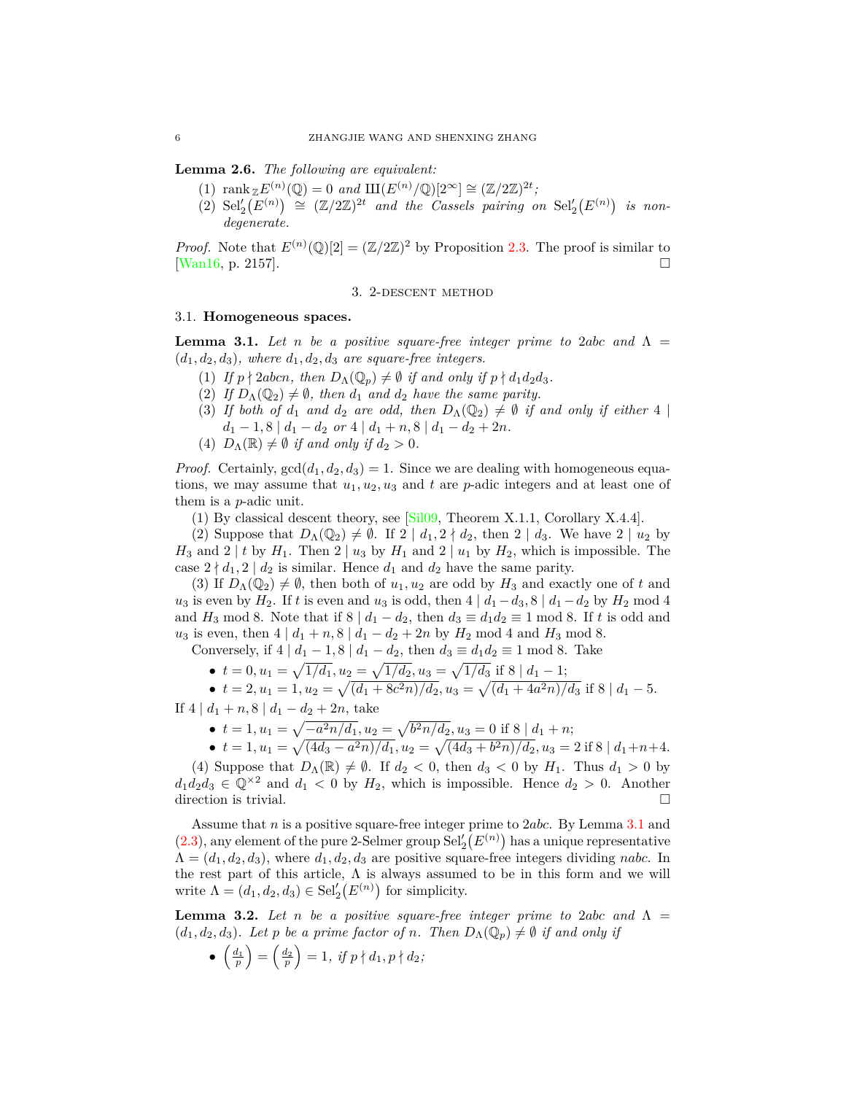<span id="page-5-4"></span>**Lemma 2.6.** *The following are equivalent:*

- $(1)$  rank  $\mathbb{Z}E^{(n)}(\mathbb{Q}) = 0$  and  $\mathbb{H}(E^{(n)}/\mathbb{Q})[2^{\infty}] \cong (\mathbb{Z}/2\mathbb{Z})^{2t}$ ;
- $(2)$   $\text{Sel}'_2(E^{(n)}) \cong (\mathbb{Z}/2\mathbb{Z})^{2t}$  *and the Cassels pairing on*  $\text{Sel}'_2(E^{(n)})$  *is nondegenerate.*

*Proof.* Note that  $E^{(n)}(\mathbb{Q})[2] = (\mathbb{Z}/2\mathbb{Z})^2$  by Proposition [2.3.](#page-3-4) The proof is similar to [\[Wan16](#page-25-0), p. 2157].

#### 3. 2-descent method

## <span id="page-5-1"></span><span id="page-5-0"></span>3.1. **Homogeneous spaces.**

<span id="page-5-2"></span>**Lemma 3.1.** Let *n* be a positive square-free integer prime to 2*abc* and  $\Lambda$  =  $(d_1, d_2, d_3)$ *, where*  $d_1, d_2, d_3$  *are square-free integers.* 

- $(1)$  *If*  $p \nmid 2abcn$ , then  $D_{\Lambda}(\mathbb{Q}_p) \neq \emptyset$  *if and only if*  $p \nmid d_1d_2d_3$ .
- (2) *If*  $D_{\Lambda}(\mathbb{Q}_2) \neq \emptyset$ , then  $d_1$  and  $d_2$  have the same parity.
- (3) If both of  $d_1$  and  $d_2$  are odd, then  $D_\Lambda(\mathbb{Q}_2) \neq \emptyset$  if and only if either 4 |  $d_1 - 1$ , 8  $|d_1 - d_2$  *or* 4  $|d_1 + n$ , 8  $|d_1 - d_2 + 2n$ .
- (4)  $D_{\Lambda}(\mathbb{R}) \neq \emptyset$  *if and only if*  $d_2 > 0$ *.*

*Proof.* Certainly,  $gcd(d_1, d_2, d_3) = 1$ . Since we are dealing with homogeneous equations, we may assume that  $u_1, u_2, u_3$  and  $t$  are *p*-adic integers and at least one of them is a *p*-adic unit.

(1) By classical descent theory, see [[Sil09,](#page-25-7) Theorem X.1.1, Corollary X.4.4].

(2) Suppose that  $D_{\Lambda}(\mathbb{Q}_2) \neq \emptyset$ . If  $2 \mid d_1, 2 \nmid d_2$ , then  $2 \mid d_3$ . We have  $2 \mid u_2$  by *H*<sub>3</sub> and 2 | *t* by *H*<sub>1</sub>. Then 2 | *u*<sub>3</sub> by *H*<sub>1</sub> and 2 | *u*<sub>1</sub> by *H*<sub>2</sub>, which is impossible. The case  $2 \nmid d_1, 2 \mid d_2$  is similar. Hence  $d_1$  and  $d_2$  have the same parity.

(3) If  $D_{\Lambda}(\mathbb{Q}_2) \neq \emptyset$ , then both of  $u_1, u_2$  are odd by  $H_3$  and exactly one of t and *u*<sub>3</sub> is even by  $H_2$ . If *t* is even and *u*<sub>3</sub> is odd, then 4  $|d_1 - d_3$ , 8  $|d_1 - d_2$  by  $H_2$  mod 4 and *H*<sub>3</sub> mod 8. Note that if  $8 \mid d_1 - d_2$ , then  $d_3 \equiv d_1 d_2 \equiv 1 \mod 8$ . If *t* is odd and *u*<sub>3</sub> is even, then  $4 | d_1 + n$ ,  $8 | d_1 - d_2 + 2n$  by  $H_2 \text{ mod } 4$  and  $H_3 \text{ mod } 8$ .

Conversely, if  $4 | d_1 - 1, 8 | d_1 - d_2$ , then  $d_3 \equiv d_1 d_2 \equiv 1 \mod 8$ . Take

•  $t = 0, u_1 = \sqrt{1/d_1}, u_2 = \sqrt{1/d_2}, u_3 = \sqrt{1/d_3}$  if  $8 | d_1 - 1;$ 

• 
$$
t = 2, u_1 = 1, u_2 = \sqrt{(d_1 + 8c^2n)/d_2}, u_3 = \sqrt{(d_1 + 4a^2n)/d_3}
$$
 if  $8 \mid d_1 - 5$ .

If 4  $| d_1 + n$ , 8  $| d_1 - d_2 + 2n$ , take

- $t = 1, u_1 = \sqrt{-a^2 n/d_1}, u_2 = \sqrt{b^2 n/d_2}, u_3 = 0$  if  $8 | d_1 + n;$
- $\bullet$   $t = 1, u_1 = \sqrt{(4d_3 a^2n)/d_1}, u_2 = \sqrt{(4d_3 + b^2n)/d_2}, u_3 = 2$  if 8  $|d_1 + n + 4$ .

(4) Suppose that  $D_{\Lambda}(\mathbb{R}) \neq \emptyset$ . If  $d_2 < 0$ , then  $d_3 < 0$  by  $H_1$ . Thus  $d_1 > 0$  by  $d_1 d_2 d_3 \in \mathbb{Q}^{\times 2}$  and  $d_1 < 0$  by  $H_2$ , which is impossible. Hence  $d_2 > 0$ . Another direction is trivial.

Assume that *n* is a positive square-free integer prime to 2*abc*. By Lemma [3.1](#page-5-2) and  $(2.3)$  $(2.3)$  $(2.3)$ , any element of the pure 2-Selmer group  $\text{Sel}'_2(E^{(n)})$  has a unique representative  $\Lambda = (d_1, d_2, d_3)$ , where  $d_1, d_2, d_3$  are positive square-free integers dividing *nabc*. In the rest part of this article,  $\Lambda$  is always assumed to be in this form and we will write  $\Lambda = (d_1, d_2, d_3) \in \text{Sel}'_2(E^{(n)})$  for simplicity.

<span id="page-5-3"></span>**Lemma 3.2.** Let *n* be a positive square-free integer prime to 2*abc* and  $\Lambda$  =  $(d_1, d_2, d_3)$ *. Let p be a prime factor of n. Then*  $D_{\Lambda}(\mathbb{Q}_p) \neq \emptyset$  *if and only if* 

 $\bullet$   $\left(\frac{d_1}{p}\right) = \left(\frac{d_2}{p}\right) = 1, \text{ if } p \nmid d_1, p \nmid d_2;$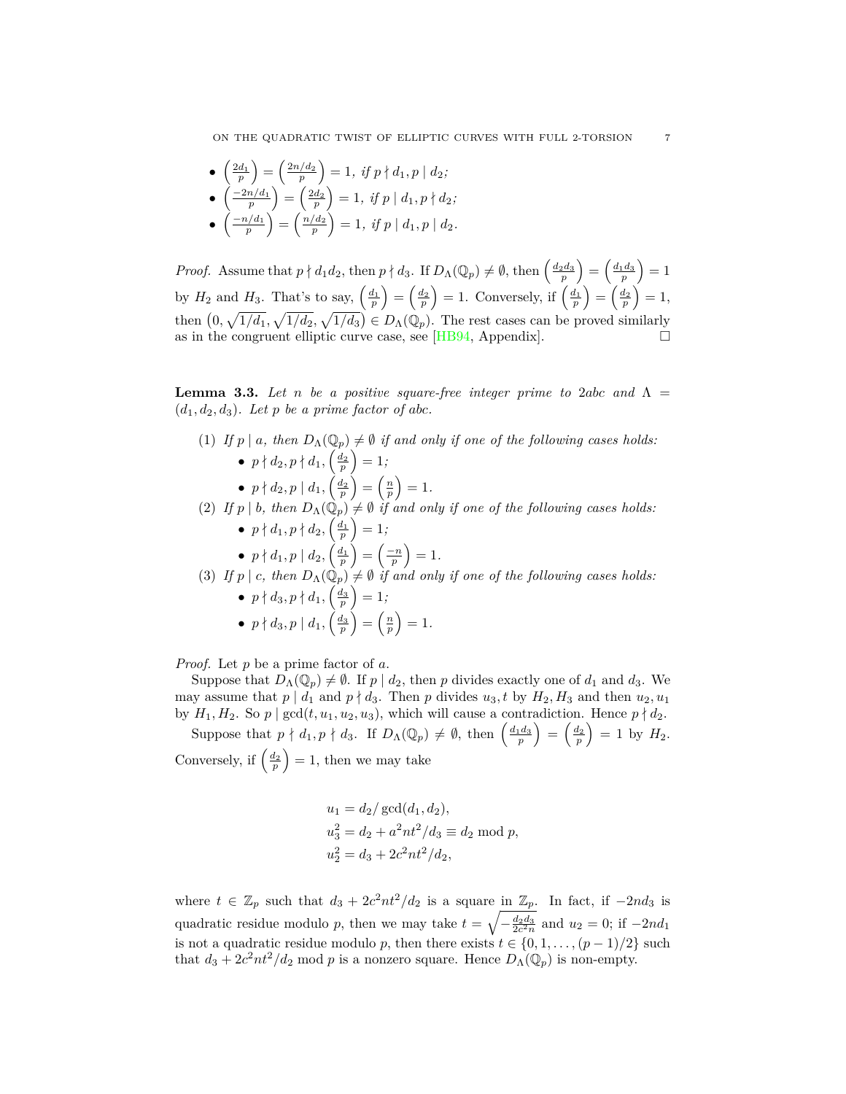ON THE QUADRATIC TWIST OF ELLIPTIC CURVES WITH FULL 2-TORSION 7

\n- \n
$$
\begin{pmatrix}\n \frac{2d_1}{p} \\
 \frac{p-1}{p}\n \end{pmatrix}\n =\n \begin{pmatrix}\n \frac{2n}{d_2} \\
 \frac{2d_2}{p}\n \end{pmatrix}\n =\n 1, \text{ if } p \nmid d_1, p \mid d_2;
$$
\n
\n- \n
$$
\begin{pmatrix}\n \frac{-2n}{d_1} \\
 \frac{p-1}{p}\n \end{pmatrix}\n =\n \begin{pmatrix}\n \frac{2d_2}{p} \\
 \frac{n}{d_2}\n \end{pmatrix}\n =\n 1, \text{ if } p \mid d_1, p \mid d_2.
$$
\n
\n

*Proof.* Assume that  $p \nmid d_1 d_2$ , then  $p \nmid d_3$ . If  $D_{\Lambda}(\mathbb{Q}_p) \neq \emptyset$ , then  $\left(\frac{d_2 d_3}{p}\right) = \left(\frac{d_1 d_3}{p}\right) = 1$ by  $H_2$  and  $H_3$ . That's to say,  $\left(\frac{d_1}{p}\right) = \left(\frac{d_2}{p}\right) = 1$ . Conversely, if  $\left(\frac{d_1}{p}\right) = \left(\frac{d_2}{p}\right) = 1$ , then  $(0, \sqrt{1/d_1}, \sqrt{1/d_2}, \sqrt{1/d_3}) \in D_{\Lambda}(\mathbb{Q}_p)$ . The rest cases can be proved similarly as in the congruent elliptic curve case, see [[HB94](#page-24-3), Appendix].

<span id="page-6-0"></span>**Lemma 3.3.** Let *n* be a positive square-free integer prime to 2abc and  $\Lambda$  =  $(d_1, d_2, d_3)$ *. Let*  $p$  *be a prime factor of abc.* 

- (1) *If*  $p \mid a$ , then  $D_{\Lambda}(\mathbb{Q}_p) \neq \emptyset$  *if and only if one of the following cases holds:* •  $p \nmid d_2, p \nmid d_1, \left( \frac{d_2}{p} \right) = 1;$ 
	- $p \nmid d_2, p \mid d_1, \left(\frac{d_2}{p}\right) = \left(\frac{n}{p}\right) = 1.$
- (2) *If*  $p \mid b$ , then  $D_{\Lambda}(\mathbb{Q}_p) \neq \emptyset$  *if and only if one of the following cases holds:* •  $p \nmid d_1, p \nmid d_2, \left( \frac{d_1}{p} \right) = 1;$ 
	- $p \nmid d_1, p \mid d_2, \left(\frac{d_1}{p}\right) = \left(\frac{-n}{p}\right) = 1.$
- (3) *If*  $p \mid c$ , then  $D_{\Lambda}(\mathbb{Q}_p) \neq \emptyset$  *if and only if one of the following cases holds:* •  $p \nmid d_3, p \nmid d_1, \left( \frac{d_3}{p} \right) = 1;$

•  $p \nmid d_3, p \mid d_1, \left( \frac{d_3}{p} \right) = \left( \frac{n}{p} \right) = 1.$ 

*Proof.* Let *p* be a prime factor of *a*.

Suppose that  $D_{\Lambda}(\mathbb{Q}_p) \neq \emptyset$ . If  $p \mid d_2$ , then  $p$  divides exactly one of  $d_1$  and  $d_3$ . We may assume that  $p \mid d_1$  and  $p \nmid d_3$ . Then  $p$  divides  $u_3, t$  by  $H_2, H_3$  and then  $u_2, u_1$ by  $H_1, H_2$ . So  $p \mid \gcd(t, u_1, u_2, u_3)$ , which will cause a contradiction. Hence  $p \nmid d_2$ . Suppose that  $p \nmid d_1, p \nmid d_3$ . If  $D_{\Lambda}(\mathbb{Q}_p) \neq \emptyset$ , then  $\left(\frac{d_1d_3}{p}\right) = \left(\frac{d_2}{p}\right) = 1$  by  $H_2$ . Conversely, if  $\left(\frac{d_2}{p}\right) = 1$ , then we may take

$$
u_1 = d_2 / \gcd(d_1, d_2),
$$
  
\n
$$
u_3^2 = d_2 + a^2 nt^2 / d_3 \equiv d_2 \mod p,
$$
  
\n
$$
u_2^2 = d_3 + 2c^2 nt^2 / d_2,
$$

where  $t \in \mathbb{Z}_p$  such that  $d_3 + 2c^2nt^2/d_2$  is a square in  $\mathbb{Z}_p$ . In fact, if  $-2nd_3$  is quadratic residue modulo *p*, then we may take  $t = \sqrt{-\frac{d_2 d_3}{2c^2 n}}$  and  $u_2 = 0$ ; if  $-2nd_1$ is not a quadratic residue modulo *p*, then there exists  $t \in \{0, 1, \ldots, (p-1)/2\}$  such that  $d_3 + 2c^2nt^2/d_2$  mod *p* is a nonzero square. Hence  $D_\Lambda(\mathbb{Q}_p)$  is non-empty.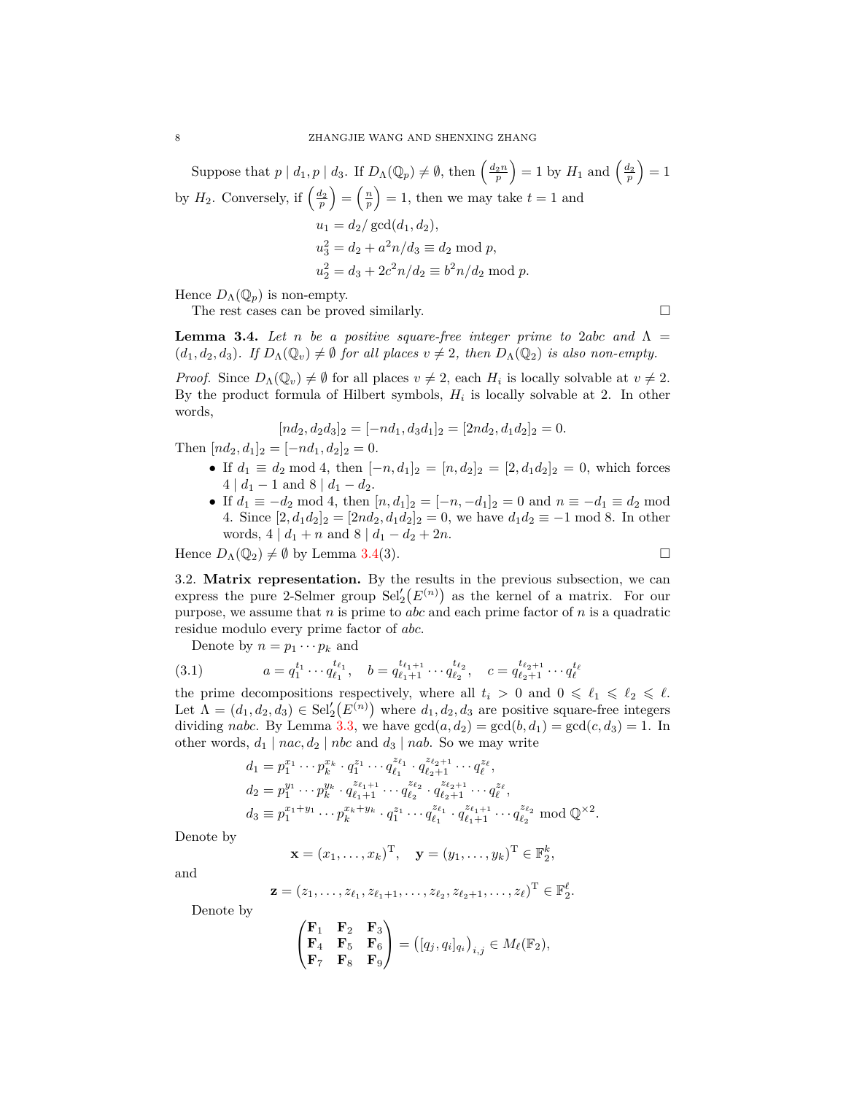Suppose that  $p \mid d_1, p \mid d_3$ . If  $D_{\Lambda}(\mathbb{Q}_p) \neq \emptyset$ , then  $\left(\frac{d_2 n}{p}\right) = 1$  by  $H_1$  and  $\left(\frac{d_2}{p}\right) = 1$ by  $H_2$ . Conversely, if  $\left(\frac{d_2}{p}\right) = \left(\frac{n}{p}\right) = 1$ , then we may take  $t = 1$  and  $u_1 = d_2 / \gcd(d_1, d_2),$  $u_3^2 = d_2 + a^2n/d_3 \equiv d_2 \mod p$ ,  $u_2^2 = d_3 + 2c^2n/d_2 \equiv b^2n/d_2 \mod p.$ 

Hence  $D_{\Lambda}(\mathbb{Q}_p)$  is non-empty.

The rest cases can be proved similarly.  $\Box$ 

<span id="page-7-1"></span>**Lemma 3.4.** *Let n be a positive square-free integer prime to 2<i>abc and*  $\Lambda$  =  $(d_1, d_2, d_3)$ *. If*  $D_\Lambda(\mathbb{Q}_v) \neq \emptyset$  for all places  $v \neq 2$ , then  $D_\Lambda(\mathbb{Q}_2)$  is also non-empty.

*Proof.* Since  $D_{\Lambda}(\mathbb{Q}_v) \neq \emptyset$  for all places  $v \neq 2$ , each  $H_i$  is locally solvable at  $v \neq 2$ . By the product formula of Hilbert symbols,  $H_i$  is locally solvable at 2. In other words,

$$
[nd_2, d_2d_3]_2 = [-nd_1, d_3d_1]_2 = [2nd_2, d_1d_2]_2 = 0.
$$

Then  $[nd_2, d_1]_2 = [-nd_1, d_2]_2 = 0.$ 

- If  $d_1 \equiv d_2 \mod 4$ , then  $[-n, d_1]_2 = [n, d_2]_2 = [2, d_1 d_2]_2 = 0$ , which forces  $4 | d_1 - 1$  and  $8 | d_1 - d_2$ .
- *•* If *d*<sup>1</sup> *≡ −d*<sup>2</sup> mod 4, then [*n, d*1]<sup>2</sup> = [*−n, −d*1]<sup>2</sup> = 0 and *n ≡ −d*<sup>1</sup> *≡ d*<sup>2</sup> mod 4. Since  $[2, d_1d_2]_2 = [2nd_2, d_1d_2]_2 = 0$ , we have  $d_1d_2 \equiv -1 \mod 8$ . In other words, 4 |  $d_1 + n$  and 8 |  $d_1 - d_2 + 2n$ .

Hence  $D_{\Lambda}(\mathbb{Q}_2) \neq \emptyset$  by Lemma [3.4](#page-7-1)(3).

<span id="page-7-0"></span>3.2. Matrix representation. By the results in the previous subsection, we can express the pure 2-Selmer group 
$$
Sel'_2(E^{(n)})
$$
 as the kernel of a matrix. For our purpose, we assume that n is prime to *abc* and each prime factor of n is a quadratic residue modulo every prime factor of *abc*.

Denote by  $n = p_1 \cdots p_k$  and

$$
(3.1) \t a = q_1^{t_1} \cdots q_{\ell_1}^{t_{\ell_1}}, \t b = q_{\ell_1+1}^{t_{\ell_1+1}} \cdots q_{\ell_2}^{t_{\ell_2}}, \t c = q_{\ell_2+1}^{t_{\ell_2+1}} \cdots q_{\ell}^{t_{\ell}}
$$

the prime decompositions respectively, where all  $t_i > 0$  and  $0 \leq \ell_1 \leq \ell_2 \leq \ell$ . Let  $\Lambda = (d_1, d_2, d_3) \in Sel'_2(E^{(n)})$  where  $d_1, d_2, d_3$  are positive square-free integers dividing *nabc*. By Lemma [3.3](#page-6-0), we have  $gcd(a, d_2) = gcd(b, d_1) = gcd(c, d_3) = 1$ . In other words,  $d_1 \mid nac, d_2 \mid nbc$  and  $d_3 \mid nab$ . So we may write

$$
d_1 = p_1^{x_1} \cdots p_k^{x_k} \cdot q_1^{z_1} \cdots q_{\ell_1}^{z_{\ell_1}} \cdot q_{\ell_2+1}^{z_{\ell_2+1}} \cdots q_\ell^{z_\ell},
$$
  
\n
$$
d_2 = p_1^{y_1} \cdots p_k^{y_k} \cdot q_{\ell_1+1}^{z_{\ell_1+1}} \cdots q_{\ell_2}^{z_{\ell_2}} \cdot q_{\ell_2+1}^{z_{\ell_2+1}} \cdots q_\ell^{z_\ell},
$$
  
\n
$$
d_3 \equiv p_1^{x_1+y_1} \cdots p_k^{x_k+y_k} \cdot q_1^{z_1} \cdots q_{\ell_1}^{z_{\ell_1}} \cdot q_{\ell_1+1}^{z_{\ell_1+1}} \cdots q_{\ell_2}^{z_{\ell_2}} \mod \mathbb{Q}^{\times 2}.
$$

Denote by

$$
\mathbf{x} = (x_1, \dots, x_k)^{\mathrm{T}}, \quad \mathbf{y} = (y_1, \dots, y_k)^{\mathrm{T}} \in \mathbb{F}_2^k,
$$

and

$$
\mathbf{z}=(z_1,\ldots,z_{\ell_1},z_{\ell_1+1},\ldots,z_{\ell_2},z_{\ell_2+1},\ldots,z_{\ell})^{\mathrm{T}}\in\mathbb{F}_2^{\ell}.
$$

Denote by

$$
\begin{pmatrix} \mathbf{F}_1 & \mathbf{F}_2 & \mathbf{F}_3 \\ \mathbf{F}_4 & \mathbf{F}_5 & \mathbf{F}_6 \\ \mathbf{F}_7 & \mathbf{F}_8 & \mathbf{F}_9 \end{pmatrix} = ([q_j, q_i]_{q_i})_{i,j} \in M_{\ell}(\mathbb{F}_2),
$$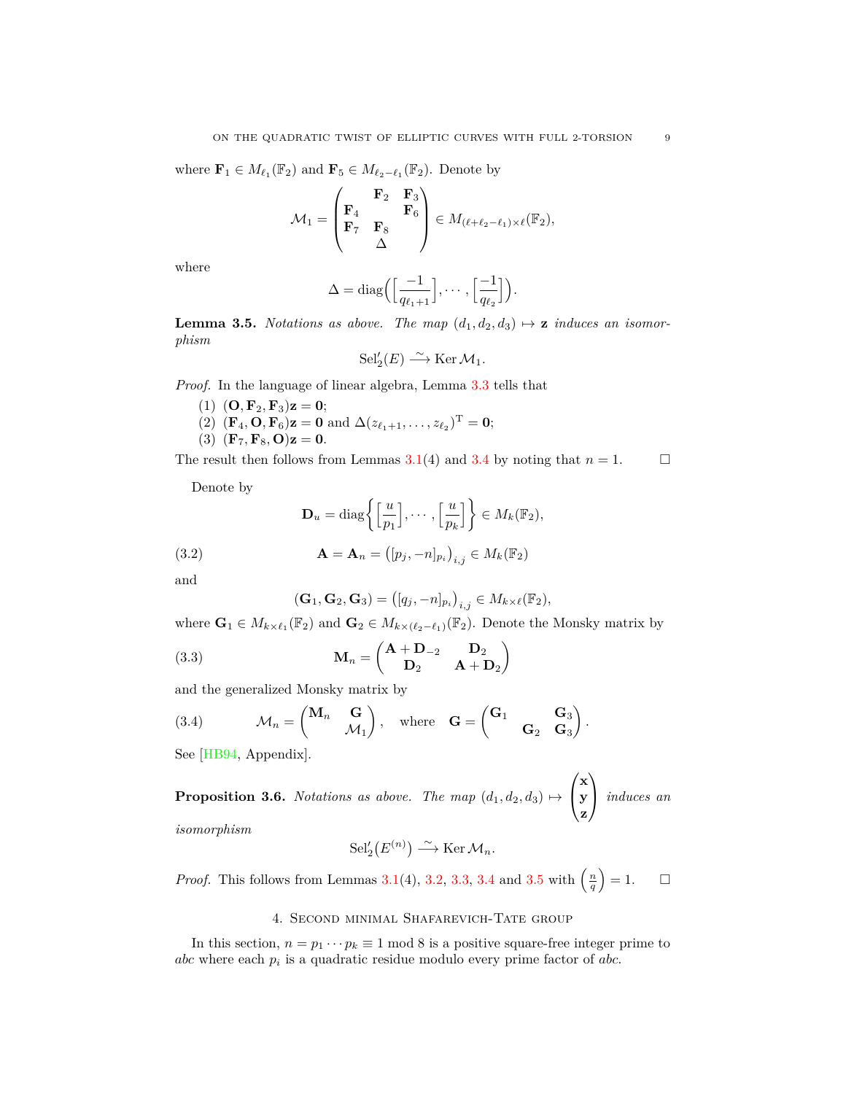where  $\mathbf{F}_1 \in M_{\ell_1}(\mathbb{F}_2)$  and  $\mathbf{F}_5 \in M_{\ell_2-\ell_1}(\mathbb{F}_2)$ . Denote by

$$
\mathcal{M}_1 = \begin{pmatrix} \mathbf{F}_2 & \mathbf{F}_3 \\ \mathbf{F}_4 & \mathbf{F}_6 \\ \mathbf{F}_7 & \mathbf{F}_8 \\ \Delta \end{pmatrix} \in M_{(\ell + \ell_2 - \ell_1) \times \ell}(\mathbb{F}_2),
$$

where

$$
\Delta = \text{diag}\Big(\Big[\frac{-1}{q_{\ell_1+1}}\Big], \cdots, \Big[\frac{-1}{q_{\ell_2}}\Big]\Big).
$$

<span id="page-8-4"></span>**Lemma 3.5.** *Notations as above. The map*  $(d_1, d_2, d_3) \rightarrow \mathbf{z}$  *induces an isomorphism*

$$
\mathrm{Sel}'_2(E) \xrightarrow{\sim} \mathrm{Ker}\, \mathcal{M}_1.
$$

*Proof.* In the language of linear algebra, Lemma [3.3](#page-6-0) tells that

- (1)  $(O, F_2, F_3)z = 0;$
- $(2)$   $(\mathbf{F}_4, \mathbf{O}, \mathbf{F}_6) \mathbf{z} = \mathbf{0}$  and  $\Delta(z_{\ell_1+1}, \ldots, z_{\ell_2})^{\mathrm{T}} = \mathbf{0}$ ;

(3) 
$$
(\mathbf{F}_7, \mathbf{F}_8, \mathbf{O})\mathbf{z} = 0.
$$

The result then follows from Lemmas [3.1](#page-5-2)(4) and [3.4](#page-7-1) by noting that  $n = 1$ .

Denote by

<span id="page-8-1"></span>
$$
\mathbf{D}_u = \text{diag}\left\{ \left[ \frac{u}{p_1} \right], \cdots, \left[ \frac{u}{p_k} \right] \right\} \in M_k(\mathbb{F}_2),
$$

(3.2) 
$$
\mathbf{A} = \mathbf{A}_n = ( [p_j, -n]_{p_i} )_{i,j} \in M_k(\mathbb{F}_2)
$$

and

<span id="page-8-2"></span>
$$
(\mathbf{G}_1, \mathbf{G}_2, \mathbf{G}_3) = ([q_j, -n]_{p_i})_{i,j} \in M_{k \times \ell}(\mathbb{F}_2),
$$

where  $\mathbf{G}_1 \in M_{k \times \ell_1}(\mathbb{F}_2)$  and  $\mathbf{G}_2 \in M_{k \times (\ell_2 - \ell_1)}(\mathbb{F}_2)$ . Denote the Monsky matrix by

(3.3) 
$$
\mathbf{M}_n = \begin{pmatrix} \mathbf{A} + \mathbf{D}_{-2} & \mathbf{D}_2 \\ \mathbf{D}_2 & \mathbf{A} + \mathbf{D}_2 \end{pmatrix}
$$

and the generalized Monsky matrix by

<span id="page-8-3"></span>(3.4) 
$$
\mathcal{M}_n = \begin{pmatrix} \mathbf{M}_n & \mathbf{G} \\ \mathcal{M}_1 \end{pmatrix}
$$
, where  $\mathbf{G} = \begin{pmatrix} \mathbf{G}_1 & \mathbf{G}_3 \\ \mathbf{G}_2 & \mathbf{G}_3 \end{pmatrix}$ .

See [\[HB94,](#page-24-3) Appendix].

<span id="page-8-5"></span>**Proposition 3.6.** *Notations as above. The map*  $(d_1, d_2, d_3) \mapsto$  $\sqrt{ }$  $\mathcal{L}$ **x y z**  $\setminus$ *induces an*

*isomorphism*

$$
\mathrm{Sel}'_2(E^{(n)}) \xrightarrow{\sim} \mathrm{Ker}\, \mathcal{M}_n.
$$

*Proof.* This follows from Lemmas [3.1](#page-5-2)(4), [3.2,](#page-5-3) [3.3](#page-6-0), [3.4](#page-7-1) and [3.5](#page-8-4) with  $\left(\frac{n}{q}\right) = 1$ .  $\Box$ 

# 4. Second minimal Shafarevich-Tate group

<span id="page-8-0"></span>In this section,  $n = p_1 \cdots p_k \equiv 1 \mod 8$  is a positive square-free integer prime to *abc* where each *p<sup>i</sup>* is a quadratic residue modulo every prime factor of *abc*.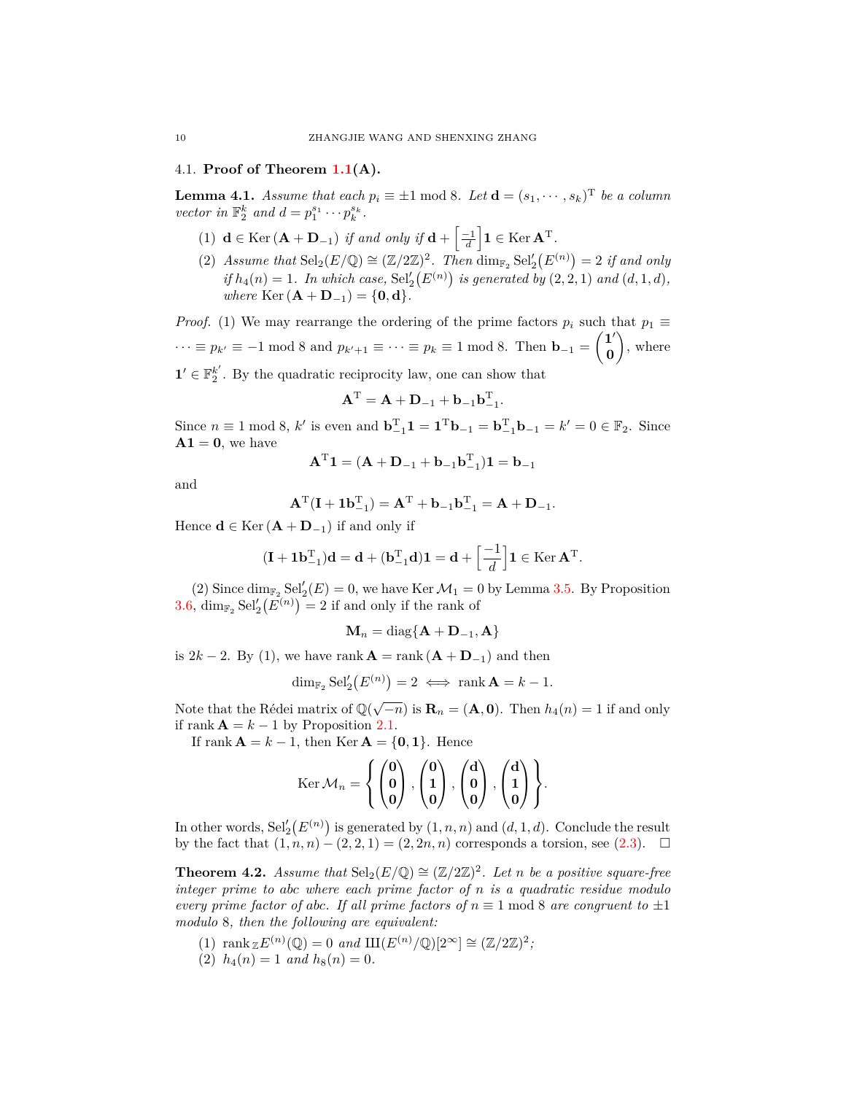### <span id="page-9-0"></span>4.1. **Proof of Theorem [1.1](#page-1-1)(A).**

<span id="page-9-2"></span>**Lemma 4.1.** *Assume that each*  $p_i \equiv \pm 1 \mod 8$ *. Let*  $\mathbf{d} = (s_1, \dots, s_k)$ <sup>T</sup> *be a column vector in*  $\mathbb{F}_2^k$  *and*  $d = p_1^{s_1} \cdots p_k^{s_k}$ *.* 

- $(1)$  **d**  $\in$  Ker  $(\mathbf{A} + \mathbf{D}_{-1})$  *if and only if*  $\mathbf{d} + \left[\frac{-1}{d}\right] \mathbf{1} \in$  Ker  $\mathbf{A}^T$ .
- (2) *Assume that*  $\text{Sel}_2(E/\mathbb{Q}) \cong (\mathbb{Z}/2\mathbb{Z})^2$ . *Then* dim<sub> $\mathbb{F}_2$ </sub>  $\text{Sel}'_2(E^{(n)}) = 2$  *if and only if*  $h_4(n) = 1$ *. In which case,*  $\text{Sel}'_2(E^{(n)})$  *is generated by*  $(2, 2, 1)$  *and*  $(d, 1, d)$ *,*  $where$   $Ker(A + D_{-1}) = \{0, d\}.$

*Proof.* (1) We may rearrange the ordering of the prime factors  $p_i$  such that  $p_1 \equiv$ *·* · *·* ≡ *p<sub>k′</sub>* ≡ −1 mod 8 and  $p_{k' + 1}$  ≡ · · · ≡  $p_k$  ≡ 1 mod 8. Then **b**<sub>−1</sub> =  $\begin{pmatrix} 1' \\ 0 \end{pmatrix}$ **0**  $\Big)$ , where  $\mathbf{1}' \in \mathbb{F}_2^{k'}$ . By the quadratic reciprocity law, one can show that

$$
\mathbf{A}^{\mathrm{T}} = \mathbf{A} + \mathbf{D}_{-1} + \mathbf{b}_{-1} \mathbf{b}_{-1}^{\mathrm{T}}.
$$

Since  $n \equiv 1 \mod 8$ ,  $k'$  is even and  $\mathbf{b}_{-1}^T \mathbf{1} = \mathbf{1}^T \mathbf{b}_{-1} = \mathbf{b}_{-1}^T \mathbf{b}_{-1} = k' = 0 \in \mathbb{F}_2$ . Since  $A1 = 0$ , we have

$$
AT1 = (A + D-1 + b-1bT-1)1 = b-1
$$

and

$$
A^{T}(I + 1b^{T}_{-1}) = A^{T} + b_{-1}b^{T}_{-1} = A + D_{-1}.
$$

Hence  $\mathbf{d} \in \text{Ker} (\mathbf{A} + \mathbf{D}_{-1})$  if and only if

$$
(\mathbf{I} + \mathbf{1}\mathbf{b}_{-1}^{\mathrm{T}})\mathbf{d} = \mathbf{d} + (\mathbf{b}_{-1}^{\mathrm{T}}\mathbf{d})\mathbf{1} = \mathbf{d} + \left[\frac{-1}{d}\right]\mathbf{1} \in \mathrm{Ker}\,\mathbf{A}^{\mathrm{T}}.
$$

(2) Since  $\dim_{\mathbb{F}_2} \text{Sel}'_2(E) = 0$ , we have Ker  $\mathcal{M}_1 = 0$  by Lemma [3.5](#page-8-4). By Proposition [3.6](#page-8-5),  $\dim_{\mathbb{F}_2} \text{Sel}'_2(E^{(n)}) = 2$  if and only if the rank of

$$
\mathbf{M}_n = \text{diag}\{\mathbf{A} + \mathbf{D}_{-1}, \mathbf{A}\}
$$

is  $2k - 2$ . By (1), we have rank  $\mathbf{A} = \text{rank}(\mathbf{A} + \mathbf{D}_{-1})$  and then

$$
\dim_{\mathbb{F}_2} \operatorname{Sel}'_2(E^{(n)}) = 2 \iff \operatorname{rank} \mathbf{A} = k - 1.
$$

Note that the Rédei matrix of  $\mathbb{Q}(\sqrt{-n})$  is  $\mathbf{R}_n = (\mathbf{A}, \mathbf{0})$ . Then  $h_4(n) = 1$  if and only if rank  $\mathbf{A} = k - 1$  by Proposition [2.1](#page-3-6).

If rank  $\mathbf{A} = k - 1$ , then Ker  $\mathbf{A} = \{0, 1\}$ . Hence

$$
\operatorname{Ker} \mathcal{M}_n = \left\{ \begin{pmatrix} 0 \\ 0 \\ 0 \end{pmatrix}, \begin{pmatrix} 0 \\ 1 \\ 0 \end{pmatrix}, \begin{pmatrix} d \\ 0 \\ 0 \end{pmatrix}, \begin{pmatrix} d \\ 1 \\ 0 \end{pmatrix} \right\}.
$$

In other words,  $\text{Sel}'_2(E^{(n)})$  is generated by  $(1, n, n)$  and  $(d, 1, d)$ . Conclude the result by the fact that  $(1, n, n) - (2, 2, 1) = (2, 2n, n)$  corresponds a torsion, see  $(2.3)$ . □

<span id="page-9-1"></span>**Theorem 4.2.** *Assume that*  $\text{Sel}_2(E/\mathbb{Q}) \cong (\mathbb{Z}/2\mathbb{Z})^2$ *. Let n be a positive square-free integer prime to abc where each prime factor of n is a quadratic residue modulo every prime factor of abc. If all prime factors of*  $n \equiv 1 \text{ mod } 8$  *are congruent to*  $\pm 1$ *modulo* 8*, then the following are equivalent:*

- (1)  $\text{rank}_{\mathbb{Z}} E^{(n)}(\mathbb{Q}) = 0 \text{ and } \text{III}(E^{(n)}/\mathbb{Q})[2^{\infty}] \cong (\mathbb{Z}/2\mathbb{Z})^2;$
- $h_4(n) = 1$  *and*  $h_8(n) = 0$ .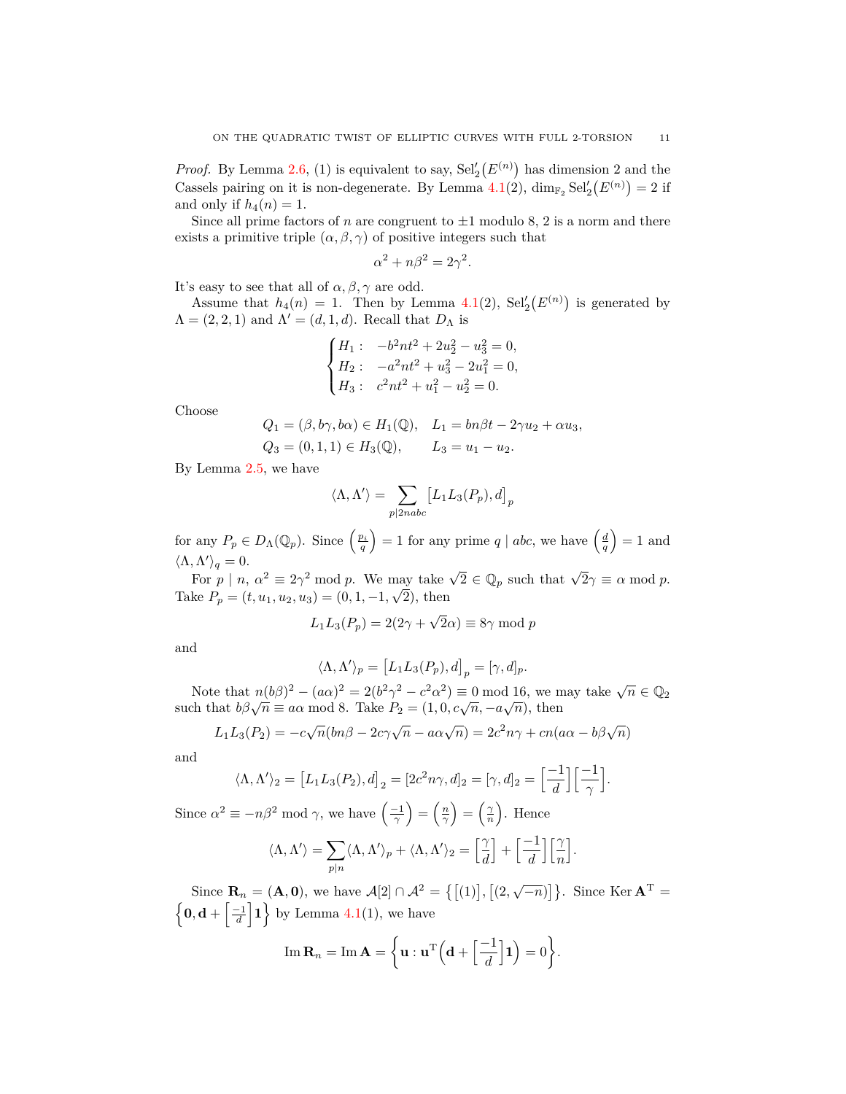*Proof.* By Lemma [2.6](#page-5-4), (1) is equivalent to say,  $\text{Sel}'_2(E^{(n)})$  has dimension 2 and the Cassels pairing on it is non-degenerate. By Lemma  $4.1(2)$  $4.1(2)$ ,  $\dim_{\mathbb{F}_2} \text{Sel}'_2(E^{(n)}) = 2$  if and only if  $h_4(n) = 1$ .

Since all prime factors of *n* are congruent to  $\pm 1$  modulo 8, 2 is a norm and there exists a primitive triple  $(\alpha, \beta, \gamma)$  of positive integers such that

$$
\alpha^2 + n\beta^2 = 2\gamma^2.
$$

It's easy to see that all of  $\alpha, \beta, \gamma$  are odd.

Assume that  $h_4(n) = 1$ . Then by Lemma [4.1\(](#page-9-2)2),  $\text{Sel}'_2(E^{(n)})$  is generated by  $\Lambda = (2, 2, 1)$  and  $\Lambda' = (d, 1, d)$ . Recall that  $D_{\Lambda}$  is

$$
\begin{cases}\nH_1: & -b^2nt^2 + 2u_2^2 - u_3^2 = 0, \\
H_2: & -a^2nt^2 + u_3^2 - 2u_1^2 = 0, \\
H_3: & c^2nt^2 + u_1^2 - u_2^2 = 0.\n\end{cases}
$$

Choose

$$
Q_1 = (\beta, b\gamma, b\alpha) \in H_1(\mathbb{Q}), \quad L_1 = bn\beta t - 2\gamma u_2 + \alpha u_3,
$$
  

$$
Q_3 = (0, 1, 1) \in H_3(\mathbb{Q}), \qquad L_3 = u_1 - u_2.
$$

By Lemma [2.5,](#page-4-4) we have

$$
\langle \Lambda, \Lambda' \rangle = \sum_{p \mid 2nabc} \left[ L_1 L_3(P_p), d \right]_p
$$

for any  $P_p \in D_\Lambda(\mathbb{Q}_p)$ . Since  $\left(\frac{p_i}{q}\right) = 1$  for any prime  $q \mid abc$ , we have  $\left(\frac{d}{q}\right) = 1$  and  $\langle \Lambda, \Lambda' \rangle_q = 0.$ 

For  $p | n, \alpha^2 \equiv 2\gamma^2 \mod p$ . We may take  $\sqrt{2} \in \mathbb{Q}_p$  such that  $\sqrt{2}\gamma \equiv \alpha \mod p$ . Take  $P_p = (t, u_1, u_2, u_3) = (0, 1, -1, \sqrt{2})$ , then

$$
L_1 L_3(P_p) = 2(2\gamma + \sqrt{2}\alpha) \equiv 8\gamma \mod p
$$

and

$$
\langle \Lambda, \Lambda' \rangle_p = [L_1 L_3(P_p), d]_p = [\gamma, d]_p.
$$

Note that  $n(b\beta)^2 - (a\alpha)^2 = 2(b^2\gamma^2 - c^2\alpha^2) \equiv 0 \mod 16$ , we may take  $\sqrt{n} \in \mathbb{Q}_2$ <br>such that  $b\beta\sqrt{n} \equiv a\alpha \mod 8$ . Take  $P_2 = (1, 0, c\sqrt{n}, -a\sqrt{n})$ , then

$$
L_1L_3(P_2) = -c\sqrt{n}(bn\beta - 2c\gamma\sqrt{n} - a\alpha\sqrt{n}) = 2c^2n\gamma + cn(a\alpha - b\beta\sqrt{n})
$$

and

$$
\langle \Lambda, \Lambda' \rangle_2 = \left[ L_1 L_3(P_2), d \right]_2 = \left[ 2c^2 n \gamma, d \right]_2 = \left[ \gamma, d \right]_2 = \left[ \frac{-1}{d} \right] \left[ \frac{-1}{\gamma} \right].
$$

Since  $\alpha^2 \equiv -n\beta^2 \mod \gamma$ , we have  $\left(\frac{-1}{\gamma}\right) = \left(\frac{n}{\gamma}\right) = \left(\frac{\gamma}{n}\right)$ . Hence

$$
\langle \Lambda, \Lambda' \rangle = \sum_{p|n} \langle \Lambda, \Lambda' \rangle_p + \langle \Lambda, \Lambda' \rangle_2 = \left[ \frac{\gamma}{d} \right] + \left[ \frac{-1}{d} \right] \left[ \frac{\gamma}{n} \right]
$$

*.*

Since  $\mathbf{R}_n = (\mathbf{A}, \mathbf{0})$ , we have  $\mathcal{A}[2] \cap \mathcal{A}^2 = \{[(1)], [(2, \sqrt{-n})]\}.$  Since Ker  $\mathbf{A}^T =$  $\left\{ \mathbf{0}, \mathbf{d} + \left[ \frac{-1}{d} \right] \mathbf{1} \right\}$  by Lemma [4.1\(](#page-9-2)1), we have

Im 
$$
\mathbf{R}_n
$$
 = Im  $\mathbf{A} = \left\{ \mathbf{u} : \mathbf{u}^{\mathrm{T}} \left( \mathbf{d} + \left[ \frac{-1}{d} \right] \mathbf{1} \right) = 0 \right\}.$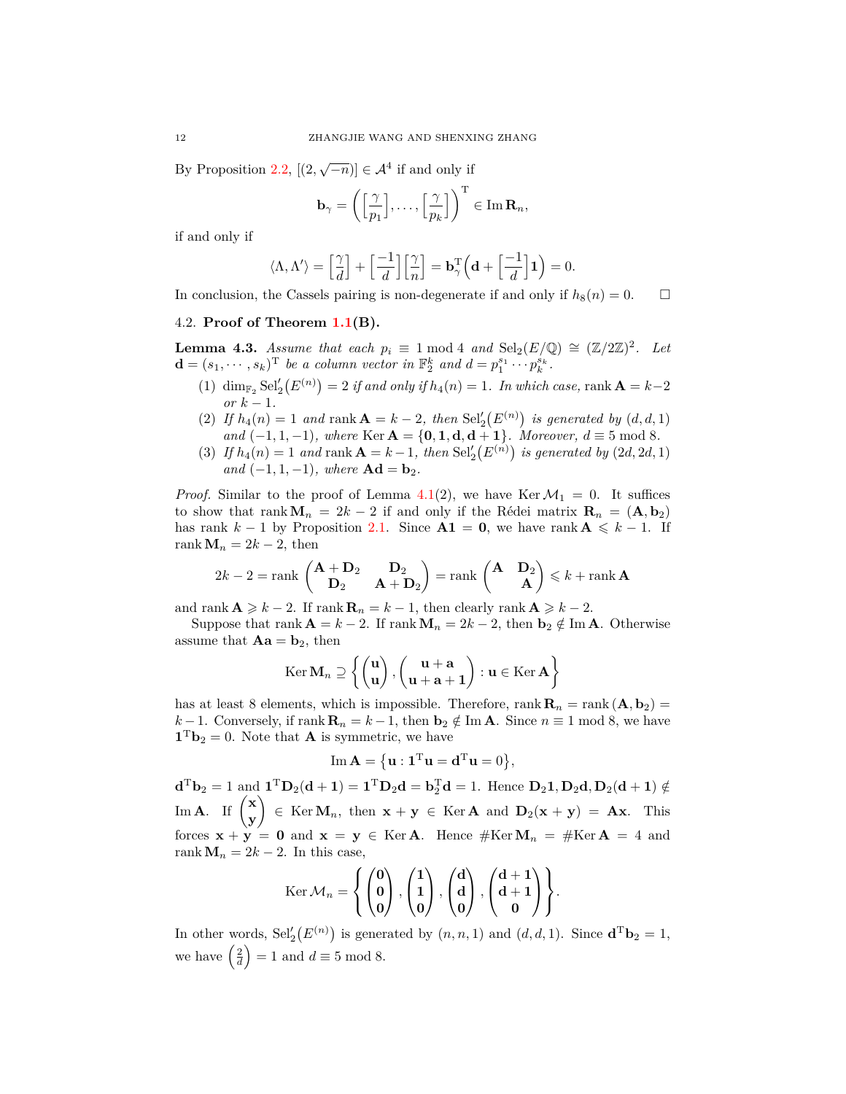By Proposition [2.2,](#page-3-7)  $[(2, \sqrt{-n})] \in \mathcal{A}^4$  if and only if

$$
\mathbf{b}_{\gamma} = \left( \left[ \frac{\gamma}{p_1} \right], \ldots, \left[ \frac{\gamma}{p_k} \right] \right)^{\mathrm{T}} \in \mathrm{Im} \,\mathbf{R}_n,
$$

if and only if

$$
\langle \Lambda, \Lambda' \rangle = \left[ \frac{\gamma}{d} \right] + \left[ \frac{-1}{d} \right] \left[ \frac{\gamma}{n} \right] = \mathbf{b}_{\gamma}^{\mathrm{T}} \left( \mathbf{d} + \left[ \frac{-1}{d} \right] \mathbf{1} \right) = 0.
$$

In conclusion, the Cassels pairing is non-degenerate if and only if  $h_8(n) = 0$ .

## <span id="page-11-0"></span>4.2. **Proof of Theorem [1.1](#page-1-1)(B).**

<span id="page-11-1"></span>**Lemma 4.3.** *Assume that each*  $p_i \equiv 1 \mod 4$  *and*  $\text{Sel}_2(E/\mathbb{Q}) \cong (\mathbb{Z}/2\mathbb{Z})^2$ *. Let*  $\mathbf{d} = (s_1, \dots, s_k)^{\text{T}}$  *be a column vector in*  $\mathbb{F}_2^k$  *and*  $d = p_1^{s_1} \cdots p_k^{s_k}$ *.* 

- $\lim_{x \to 2} \text{Sel}'_2(E^{(n)}) = 2$  *if and only if*  $h_4(n) = 1$ *. In which case,* rank  $\mathbf{A} = k 2$  $or k - 1$ .
- (2) If  $h_4(n) = 1$  and rank  $A = k 2$ , then  $\text{Sel}'_2(E^{(n)})$  is generated by  $(d, d, 1)$ *and*  $(-1, 1, -1)$ *, where* Ker  $A = \{0, 1, d, d + 1\}$ *. Moreover,*  $d \equiv 5 \mod 8$ *.*
- (3) *If*  $h_4(n) = 1$  *and* rank  $A = k 1$ *, then*  $\text{Sel}'_2(E^{(n)})$  *is generated by*  $(2d, 2d, 1)$  $and$   $(-1, 1, -1)$ *, where*  $Ad = b_2$ *.*

*Proof.* Similar to the proof of Lemma [4.1\(](#page-9-2)2), we have Ker $\mathcal{M}_1 = 0$ . It suffices to show that rank  $\mathbf{M}_n = 2k - 2$  if and only if the Rédei matrix  $\mathbf{R}_n = (\mathbf{A}, \mathbf{b}_2)$ has rank  $k - 1$  by Proposition [2.1](#page-3-6). Since  $A1 = 0$ , we have rank  $A \leq k - 1$ . If rank  $M_n = 2k - 2$ , then

$$
2k - 2 = \text{rank}\begin{pmatrix} \mathbf{A} + \mathbf{D}_2 & \mathbf{D}_2 \\ \mathbf{D}_2 & \mathbf{A} + \mathbf{D}_2 \end{pmatrix} = \text{rank}\begin{pmatrix} \mathbf{A} & \mathbf{D}_2 \\ \mathbf{A} \end{pmatrix} \leq k + \text{rank}\,\mathbf{A}
$$

and rank  $\mathbf{A} \geq k - 2$ . If rank  $\mathbf{R}_n = k - 1$ , then clearly rank  $\mathbf{A} \geq k - 2$ .

Suppose that rank  $\mathbf{A} = k - 2$ . If rank  $\mathbf{M}_n = 2k - 2$ , then  $\mathbf{b}_2 \notin \text{Im } \mathbf{A}$ . Otherwise assume that  $Aa = b_2$ , then

$$
\operatorname{Ker} \mathbf{M}_n \supseteq \left\{ \begin{pmatrix} \mathbf{u} \\ \mathbf{u} \end{pmatrix}, \begin{pmatrix} \mathbf{u} + \mathbf{a} \\ \mathbf{u} + \mathbf{a} + \mathbf{1} \end{pmatrix} : \mathbf{u} \in \operatorname{Ker} \mathbf{A} \right\}
$$

has at least 8 elements, which is impossible. Therefore,  $\text{rank } \mathbf{R}_n = \text{rank} (\mathbf{A}, \mathbf{b}_2) =$ *k* − 1. Conversely, if rank  $\mathbf{R}_n = k - 1$ , then  $\mathbf{b}_2 \notin \text{Im } \mathbf{A}$ . Since  $n \equiv 1 \mod 8$ , we have  $\mathbf{1}^{\mathrm{T}}\mathbf{b}_2 = 0$ . Note that **A** is symmetric, we have

$$
\mathrm{Im}\,\mathbf{A}=\big\{\mathbf{u}:\mathbf{1}^{\mathrm{T}}\mathbf{u}=\mathbf{d}^{\mathrm{T}}\mathbf{u}=0\big\},\,
$$

 $\mathbf{d}^{\mathrm{T}}\mathbf{b}_2 = 1$  and  $\mathbf{1}^{\mathrm{T}}\mathbf{D}_2(\mathbf{d} + \mathbf{1}) = \mathbf{1}^{\mathrm{T}}\mathbf{D}_2\mathbf{d} = \mathbf{b}_2^{\mathrm{T}}\mathbf{d} = 1$ . Hence  $\mathbf{D}_2\mathbf{1}, \mathbf{D}_2\mathbf{d}, \mathbf{D}_2(\mathbf{d} + \mathbf{1}) \notin$  $\lim_{\mathbf{A}} \mathbf{A}$ . If  $\begin{pmatrix} \mathbf{x} \\ \mathbf{y} \end{pmatrix}$ **y**  $\mathbf{P}$  **EXECO***n*, then  $\mathbf{x} + \mathbf{y} \in \text{Ker } \mathbf{A}$  and  $\mathbf{D}_2(\mathbf{x} + \mathbf{y}) = \mathbf{A}\mathbf{x}$ . This forces  $\mathbf{x} + \mathbf{y} = \mathbf{0}$  and  $\mathbf{x} = \mathbf{y} \in \text{Ker } \mathbf{A}$ . Hence  $\#\text{Ker } \mathbf{M}_n = \#\text{Ker } \mathbf{A} = 4$  and rank  $M_n = 2k - 2$ . In this case,

$$
\operatorname{Ker} \mathcal{M}_n = \left\{ \begin{pmatrix} 0 \\ 0 \\ 0 \end{pmatrix}, \begin{pmatrix} 1 \\ 1 \\ 0 \end{pmatrix}, \begin{pmatrix} d \\ d \\ 0 \end{pmatrix}, \begin{pmatrix} d+1 \\ d+1 \\ 0 \end{pmatrix} \right\}.
$$

In other words,  $\text{Sel}'_2(E^{(n)})$  is generated by  $(n, n, 1)$  and  $(d, d, 1)$ . Since  $\mathbf{d}^T \mathbf{b}_2 = 1$ , we have  $\left(\frac{2}{d}\right) = 1$  and  $d \equiv 5 \mod 8$ .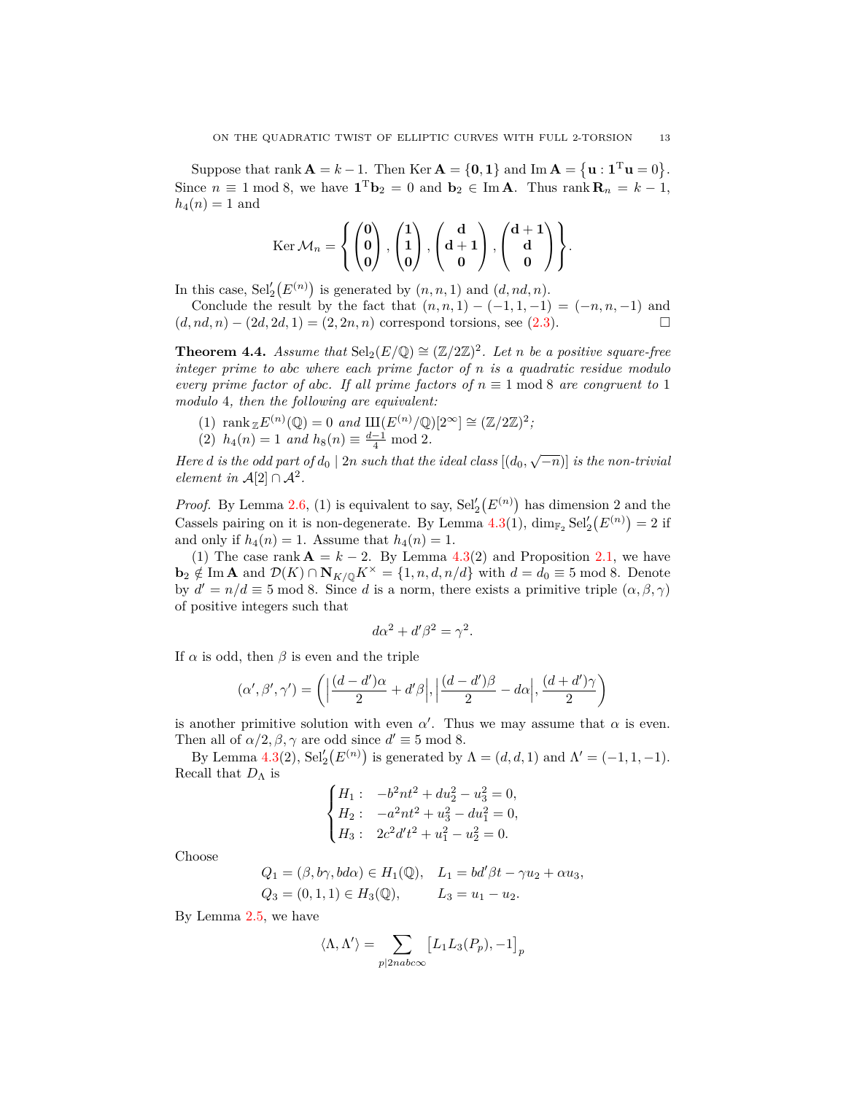Suppose that rank  $\mathbf{A} = k - 1$ . Then Ker  $\mathbf{A} = \{0, 1\}$  and Im  $\mathbf{A} = \{\mathbf{u} : \mathbf{1}^{\mathrm{T}}\mathbf{u} = 0\}$ . Since  $n \equiv 1 \mod 8$ , we have  $\mathbf{1}^T \mathbf{b}_2 = 0$  and  $\mathbf{b}_2 \in \text{Im } \mathbf{A}$ . Thus rank  $\mathbf{R}_n = k - 1$ ,  $h_4(n) = 1$  and

$$
\mathrm{Ker}\,\mathcal{M}_n=\left\{\begin{pmatrix}0\\0\\0\end{pmatrix},\begin{pmatrix}1\\1\\0\end{pmatrix},\begin{pmatrix}\mathbf{d}\\ \mathbf{d}+\mathbf{1}\\ \mathbf{0}\end{pmatrix},\begin{pmatrix}\mathbf{d}+\mathbf{1}\\ \mathbf{d}\\ \mathbf{0}\end{pmatrix}\right\}.
$$

In this case,  $\text{Sel}'_2(E^{(n)})$  is generated by  $(n, n, 1)$  and  $(d, nd, n)$ .

Conclude the result by the fact that  $(n, n, 1) - (-1, 1, -1) = (-n, n, -1)$  and  $(d, nd, n) - (2d, 2d, 1) = (2, 2n, n)$  correspond torsions, see  $(2.3)$  $(2.3)$  $(2.3)$ .

<span id="page-12-0"></span>**Theorem 4.4.** *Assume that*  $\text{Sel}_2(E/\mathbb{Q}) \cong (\mathbb{Z}/2\mathbb{Z})^2$ *. Let n be a positive square-free integer prime to abc where each prime factor of n is a quadratic residue modulo every prime factor of abc. If all prime factors of*  $n \equiv 1 \text{ mod } 8$  *are congruent to* 1 *modulo* 4*, then the following are equivalent:*

(1)  $\text{rank}_{\mathbb{Z}} E^{(n)}(\mathbb{Q}) = 0 \text{ and } \text{III}(E^{(n)}/\mathbb{Q})[2^{\infty}] \cong (\mathbb{Z}/2\mathbb{Z})^2;$ (2)  $h_4(n) = 1$  *and*  $h_8(n) \equiv \frac{d-1}{4} \mod 2$ .

*Here d* is the odd part of  $d_0 \mid 2n$  such that the ideal class  $[(d_0, \sqrt{-n})]$  is the non-trivial *element in*  $\mathcal{A}[2] \cap \mathcal{A}^2$ .

*Proof.* By Lemma [2.6](#page-5-4), (1) is equivalent to say,  $\text{Sel}'_2(E^{(n)})$  has dimension 2 and the Cassels pairing on it is non-degenerate. By Lemma  $4.3(1)$  $4.3(1)$ ,  $\dim_{\mathbb{F}_2} \text{Sel}'_2(E^{(n)}) = 2$  if and only if  $h_4(n) = 1$ . Assume that  $h_4(n) = 1$ .

(1) The case rank  $\mathbf{A} = k - 2$ . By Lemma [4.3](#page-11-1)(2) and Proposition [2.1,](#page-3-6) we have **b**<sub>2</sub> ∉ Im **A** and  $\mathcal{D}(K) \cap \mathbf{N}_{K/\mathbb{Q}} K^{\times} = \{1, n, d, n/d\}$  with  $d = d_0 \equiv 5 \text{ mod } 8$ . Denote by  $d' = n/d \equiv 5 \mod 8$ . Since *d* is a norm, there exists a primitive triple  $(\alpha, \beta, \gamma)$ of positive integers such that

$$
d\alpha^2 + d'\beta^2 = \gamma^2.
$$

If  $\alpha$  is odd, then  $\beta$  is even and the triple

$$
(\alpha', \beta', \gamma') = \left( \left| \frac{(d-d')\alpha}{2} + d'\beta \right|, \left| \frac{(d-d')\beta}{2} - d\alpha \right|, \frac{(d+d')\gamma}{2} \right)
$$

is another primitive solution with even  $\alpha'$ . Thus we may assume that  $\alpha$  is even. Then all of  $\alpha/2, \beta, \gamma$  are odd since  $d' \equiv 5 \mod 8$ .

By Lemma [4.3](#page-11-1)(2),  $\text{Sel}'_2(E^{(n)})$  is generated by  $\Lambda = (d, d, 1)$  and  $\Lambda' = (-1, 1, -1)$ . Recall that  $D_\Lambda$  is

$$
\begin{cases}\nH_1: & -b^2nt^2 + du_2^2 - u_3^2 = 0, \\
H_2: & -a^2nt^2 + u_3^2 - du_1^2 = 0, \\
H_3: & 2c^2d't^2 + u_1^2 - u_2^2 = 0.\n\end{cases}
$$

Choose

$$
Q_1 = (\beta, b\gamma, bd\alpha) \in H_1(\mathbb{Q}), \quad L_1 = bd'\beta t - \gamma u_2 + \alpha u_3,
$$
  

$$
Q_3 = (0, 1, 1) \in H_3(\mathbb{Q}), \qquad L_3 = u_1 - u_2.
$$

By Lemma [2.5,](#page-4-4) we have

$$
\langle \Lambda, \Lambda' \rangle = \sum_{p \mid 2nab \text{cos}} \left[ L_1 L_3(P_p), -1 \right]_p
$$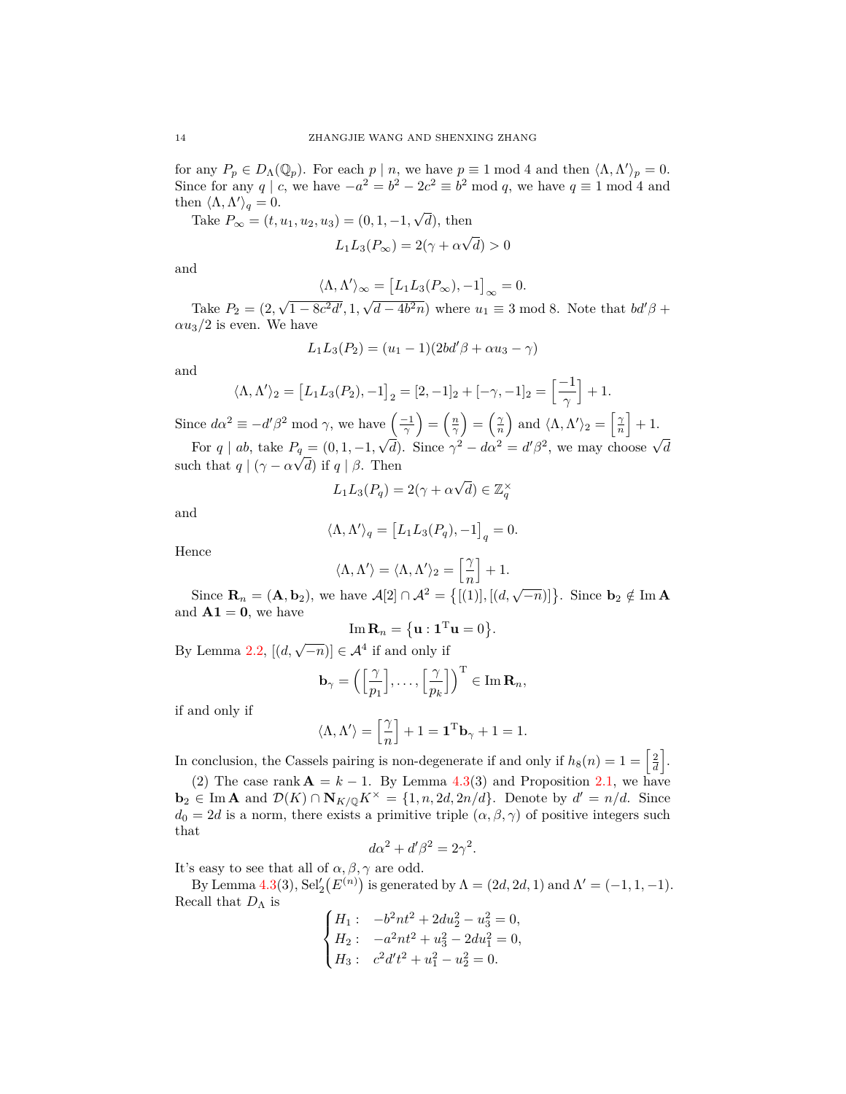for any  $P_p \in D_\Lambda(\mathbb{Q}_p)$ . For each  $p \mid n$ , we have  $p \equiv 1 \mod 4$  and then  $\langle \Lambda, \Lambda' \rangle_p = 0$ . Since for any *q* | *c*, we have  $-a^2 = b^2 - 2c^2 \equiv b^2 \mod q$ , we have  $q \equiv 1 \mod 4$  and then  $\langle \Lambda, \Lambda' \rangle_q = 0$ .

Take  $P_{\infty} = (t, u_1, u_2, u_3) = (0, 1, -1, \sqrt{d})$ , then

$$
L_1 L_3(P_\infty) = 2(\gamma + \alpha \sqrt{d}) > 0
$$

and

$$
\langle \Lambda, \Lambda' \rangle_{\infty} = [L_1 L_3(P_{\infty}), -1]_{\infty} = 0.
$$

Take  $P_2 = (2, \sqrt{1 - 8c^2d'}, 1, \sqrt{d - 4b^2n})$  where  $u_1 \equiv 3 \mod 8$ . Note that  $bd^{\prime}\beta$  +  $\alpha u_3/2$  is even. We have

$$
L_1L_3(P_2) = (u_1 - 1)(2bd'\beta + \alpha u_3 - \gamma)
$$

and

$$
\langle \Lambda, \Lambda' \rangle_2 = [L_1 L_3(P_2), -1]_2 = [2, -1]_2 + [-\gamma, -1]_2 = \left[\frac{-1}{\gamma}\right] + 1.
$$

Since  $d\alpha^2 \equiv -d'\beta^2 \mod \gamma$ , we have  $\left(\frac{-1}{\gamma}\right) = \left(\frac{n}{\gamma}\right) = \left(\frac{\gamma}{n}\right)$  and  $\langle \Lambda, \Lambda' \rangle_2 = \left[\frac{\gamma}{n}\right] + 1$ .

For q | ab, take  $P_q = (0, 1, -1, \sqrt{d})$ . Since  $\gamma^2 - d\alpha^2 = d'\beta^2$ , we may choose  $\sqrt{d}$ such that  $q | (\gamma - \alpha \sqrt{d})$  if  $q | \beta$ . Then

$$
L_1L_3(P_q) = 2(\gamma + \alpha\sqrt{d}) \in \mathbb{Z}_q^{\times}
$$

and

$$
\langle \Lambda, \Lambda' \rangle_q = \left[ L_1 L_3(P_q), -1 \right]_q = 0.
$$

Hence

$$
\langle \Lambda, \Lambda' \rangle = \langle \Lambda, \Lambda' \rangle_2 = \left[\frac{\gamma}{n}\right] + 1.
$$

Since  $\mathbf{R}_n = (\mathbf{A}, \mathbf{b}_2)$ , we have  $\mathcal{A}[2] \cap \mathcal{A}^2 = \{[(1)], [(d, \sqrt{-n})]\}$ . Since  $\mathbf{b}_2 \notin \text{Im } \mathbf{A}$ and  $A1 = 0$ , we have

$$
\operatorname{Im} \mathbf{R}_n = \left\{ \mathbf{u} : \mathbf{1}^{\mathrm{T}} \mathbf{u} = 0 \right\}.
$$

By Lemma [2.2,](#page-3-7)  $[(d, \sqrt{-n})] \in \mathcal{A}^4$  if and only if

$$
\mathbf{b}_{\gamma} = \left( \left[ \frac{\gamma}{p_1} \right], \ldots, \left[ \frac{\gamma}{p_k} \right] \right)^{\mathrm{T}} \in \mathrm{Im} \,\mathbf{R}_n,
$$

if and only if

$$
\langle \Lambda, \Lambda' \rangle = \left[ \dfrac{\gamma}{n} \right] + 1 = \textbf{1}^{\rm T} \textbf{b}_{\gamma} + 1 = 1.
$$

In conclusion, the Cassels pairing is non-degenerate if and only if  $h_8(n) = 1 = \left\lceil \frac{2}{d} \right\rceil$ .

(2) The case rank  $\mathbf{A} = k - 1$ . By Lemma [4.3](#page-11-1)(3) and Proposition [2.1,](#page-3-6) we have  $\mathbf{b}_2 \in \text{Im } \mathbf{A}$  and  $\mathcal{D}(K) \cap \mathbf{N}_{K/\mathbb{Q}} K^\times = \{1, n, 2d, 2n/d\}$ . Denote by  $d' = n/d$ . Since  $d_0 = 2d$  is a norm, there exists a primitive triple  $(\alpha, \beta, \gamma)$  of positive integers such that

$$
d\alpha^2 + d'\beta^2 = 2\gamma^2.
$$

It's easy to see that all of  $\alpha, \beta, \gamma$  are odd.

By Lemma [4.3](#page-11-1)(3),  $\text{Sel}'_2(E^{(n)})$  is generated by  $\Lambda = (2d, 2d, 1)$  and  $\Lambda' = (-1, 1, -1)$ . Recall that  $D_{\Lambda}$  is

$$
\begin{cases}\nH_1: & -b^2nt^2 + 2du_2^2 - u_3^2 = 0, \\
H_2: & -a^2nt^2 + u_3^2 - 2du_1^2 = 0, \\
H_3: & c^2d't^2 + u_1^2 - u_2^2 = 0.\n\end{cases}
$$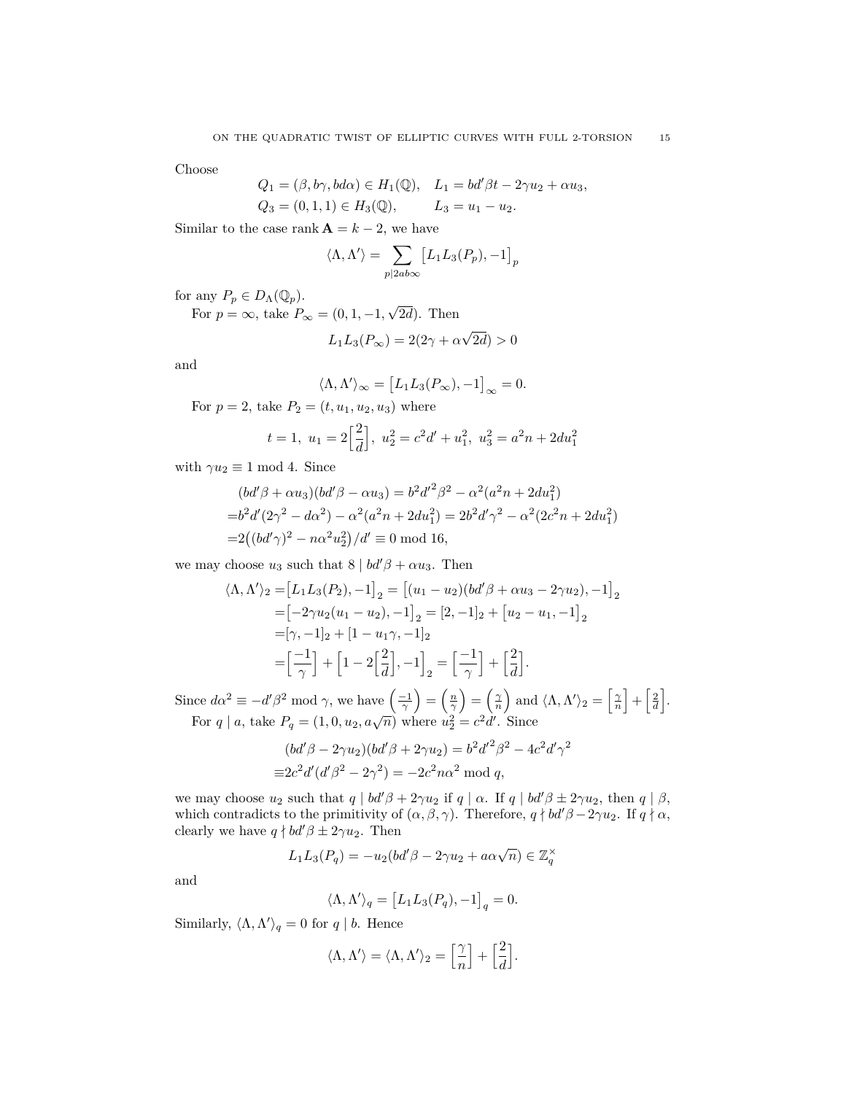Choose

$$
Q_1 = (\beta, b\gamma, bd\alpha) \in H_1(\mathbb{Q}), \quad L_1 = bd'\beta t - 2\gamma u_2 + \alpha u_3,
$$
  
\n $Q_3 = (0, 1, 1) \in H_3(\mathbb{Q}), \qquad L_3 = u_1 - u_2.$ 

Similar to the case rank  $\mathbf{A} = k - 2$ , we have

$$
\langle \Lambda, \Lambda' \rangle = \sum_{p \mid 2ab \infty} \left[ L_1 L_3(P_p), -1 \right]_p
$$

for any  $P_p \in D_{\Lambda}(\mathbb{Q}_p)$ .

For  $p = \infty$ , take  $P_{\infty} = (0, 1, -1, \sqrt{2d})$ . Then

$$
L_1 L_3(P_\infty) = 2(2\gamma + \alpha \sqrt{2d}) > 0
$$

and

$$
\langle \Lambda, \Lambda' \rangle_{\infty} = [L_1 L_3(P_{\infty}), -1]_{\infty} = 0.
$$

For  $p = 2$ , take  $P_2 = (t, u_1, u_2, u_3)$  where

$$
t = 1, u_1 = 2\left[\frac{2}{d}\right], u_2^2 = c^2d' + u_1^2, u_3^2 = a^2n + 2du_1^2
$$

with  $\gamma u_2 \equiv 1 \mod 4$ . Since

$$
(bd'\beta + \alpha u_3)(bd'\beta - \alpha u_3) = b^2 d'^2 \beta^2 - \alpha^2 (a^2 n + 2du_1^2)
$$
  
= $b^2 d'(2\gamma^2 - d\alpha^2) - \alpha^2 (a^2 n + 2du_1^2) = 2b^2 d' \gamma^2 - \alpha^2 (2c^2 n + 2du_1^2)$   
= $2((bd'\gamma)^2 - n\alpha^2 u_2^2)/d' \equiv 0 \mod 16$ ,

we may choose  $u_3$  such that  $8 | bd^{\prime}\beta + \alpha u_3$ . Then

$$
\langle \Lambda, \Lambda' \rangle_2 = [L_1 L_3(P_2), -1]_2 = [(u_1 - u_2)(bd'\beta + \alpha u_3 - 2\gamma u_2), -1]_2
$$
  
=  $[-2\gamma u_2(u_1 - u_2), -1]_2 = [2, -1]_2 + [u_2 - u_1, -1]_2$   
=  $[\gamma, -1]_2 + [1 - u_1\gamma, -1]_2$   
=  $\left[\frac{-1}{\gamma}\right] + \left[1 - 2\left[\frac{2}{d}\right], -1\right]_2 = \left[\frac{-1}{\gamma}\right] + \left[\frac{2}{d}\right].$ 

Since  $d\alpha^2 \equiv -d'\beta^2 \mod \gamma$ , we have  $\left(\frac{-1}{\gamma}\right) = \left(\frac{n}{\gamma}\right) = \left(\frac{\gamma}{n}\right)$  and  $\langle \Lambda, \Lambda' \rangle_2 = \left[\frac{\gamma}{n}\right] + \left[\frac{2}{n}\right]$ . For *q* | *a*, take  $P_q = (1, 0, u_2, a\sqrt{n})$  where  $u_2^2 = c^2d'$ . Since

$$
(bd'\beta - 2\gamma u_2)(bd'\beta + 2\gamma u_2) = b^2 d'^2 \beta^2 - 4c^2 d' \gamma^2
$$
  

$$
\equiv 2c^2 d' (d'\beta^2 - 2\gamma^2) = -2c^2 n\alpha^2 \mod q,
$$

we may choose  $u_2$  such that  $q \mid bd' \beta + 2 \gamma u_2$  if  $q \mid \alpha$ . If  $q \mid bd' \beta \pm 2 \gamma u_2$ , then  $q \mid \beta$ , which contradicts to the primitivity of  $(\alpha, \beta, \gamma)$ . Therefore,  $q \nmid bd^{\prime}\beta - 2\gamma u_2$ . If  $q \nmid \alpha$ , clearly we have  $q \nmid bd' \beta \pm 2\gamma u_2$ . Then

$$
L_1L_3(P_q) = -u_2(bd'\beta - 2\gamma u_2 + a\alpha\sqrt{n}) \in \mathbb{Z}_q^\times
$$

and

$$
\langle \Lambda, \Lambda' \rangle_q = \left[ L_1 L_3(P_q), -1 \right]_q = 0.
$$

Similarly,  $\langle \Lambda, \Lambda' \rangle_q = 0$  for  $q \mid b$ . Hence

$$
\langle \Lambda, \Lambda' \rangle = \langle \Lambda, \Lambda' \rangle_2 = \left[\frac{\gamma}{n}\right] + \left[\frac{2}{d}\right].
$$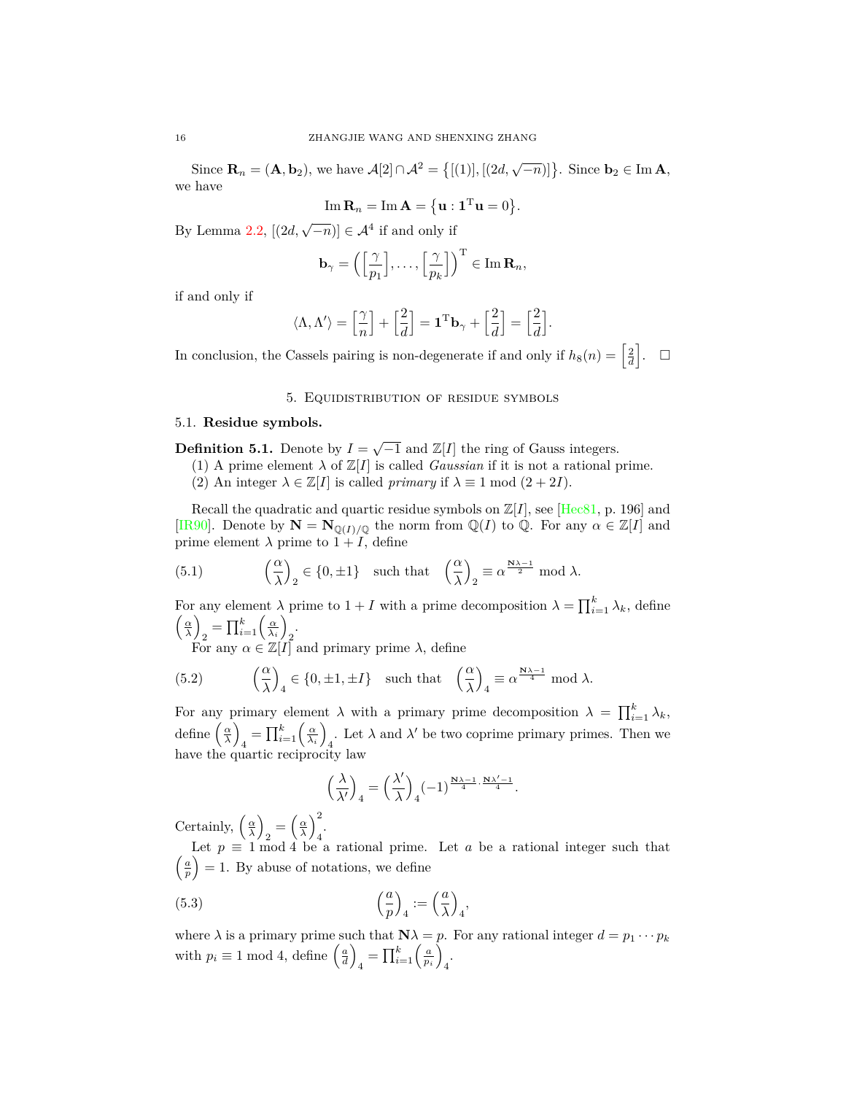Since  $\mathbf{R}_n = (\mathbf{A}, \mathbf{b}_2)$ , we have  $\mathcal{A}[2] \cap \mathcal{A}^2 = \{[(1)], [(2d, \sqrt{-n})]\}$ . Since  $\mathbf{b}_2 \in \text{Im } \mathbf{A}$ , we have

$$
\operatorname{Im} \mathbf{R}_n = \operatorname{Im} \mathbf{A} = \{ \mathbf{u} : \mathbf{1}^{\mathrm{T}} \mathbf{u} = 0 \}.
$$

By Lemma [2.2,](#page-3-7)  $[(2d, \sqrt{-n})] \in \mathcal{A}^4$  if and only if

$$
\mathbf{b}_{\gamma} = \left( \left[ \frac{\gamma}{p_1} \right], \ldots, \left[ \frac{\gamma}{p_k} \right] \right)^{\mathrm{T}} \in \mathrm{Im} \,\mathbf{R}_n,
$$

if and only if

$$
\langle \Lambda, \Lambda' \rangle = \left[\frac{\gamma}{n}\right] + \left[\frac{2}{d}\right] = \mathbf{1}^{\mathrm{T}} \mathbf{b}_{\gamma} + \left[\frac{2}{d}\right] = \left[\frac{2}{d}\right].
$$

In conclusion, the Cassels pairing is non-degenerate if and only if  $h_8(n) = \left[\frac{2}{d}\right]$ .  $\Box$ 

### 5. Equidistribution of residue symbols

### <span id="page-15-1"></span><span id="page-15-0"></span>5.1. **Residue symbols.**

**Definition 5.1.** Denote by  $I = \sqrt{-1}$  and  $\mathbb{Z}[I]$  the ring of Gauss integers.

- (1) A prime element  $\lambda$  of  $\mathbb{Z}[I]$  is called *Gaussian* if it is not a rational prime.
- (2) An integer  $\lambda \in \mathbb{Z}[I]$  is called *primary* if  $\lambda \equiv 1 \mod (2 + 2I)$ .

Recall the quadratic and quartic residue symbols on  $\mathbb{Z}[I]$ , see [[Hec81](#page-25-8), p. 196] and [\[IR90](#page-25-1)]. Denote by  $N = N_{\mathbb{Q}(I)/\mathbb{Q}}$  the norm from  $\mathbb{Q}(I)$  to  $\mathbb{Q}$ . For any  $\alpha \in \mathbb{Z}[I]$  and prime element  $\lambda$  prime to  $1 + I$ , define

<span id="page-15-2"></span>(5.1) 
$$
\left(\frac{\alpha}{\lambda}\right)_2 \in \{0, \pm 1\}
$$
 such that  $\left(\frac{\alpha}{\lambda}\right)_2 \equiv \alpha^{\frac{N\lambda - 1}{2}}$  mod  $\lambda$ .

For any element  $\lambda$  prime to  $1 + I$  with a prime decomposition  $\lambda = \prod_{i=1}^{k} \lambda_k$ , define  $\left(\frac{\alpha}{\lambda}\right)$  $\sum_{i=1}^{k} \left( \frac{\alpha}{\lambda_i} \right)$  $\overline{2}$ 

<span id="page-15-3"></span>For any  $\alpha \in \mathbb{Z}[I]$  and primary prime  $\lambda$ , define

(5.2) 
$$
\left(\frac{\alpha}{\lambda}\right)_4 \in \{0, \pm 1, \pm I\}
$$
 such that  $\left(\frac{\alpha}{\lambda}\right)_4 \equiv \alpha^{\frac{N\lambda - 1}{4}} \mod \lambda$ .

For any primary element  $\lambda$  with a primary prime decomposition  $\lambda = \prod_{i=1}^{k} \lambda_k$ , define  $\left(\frac{\alpha}{\lambda}\right)$  $\prod_{i=1}^{k} \left( \frac{\alpha}{\lambda_i} \right)$ . Let  $\lambda$  and  $\lambda'$  be two coprime primary primes. Then we have the quartic reciprocity law

<span id="page-15-4"></span>
$$
\left(\frac{\lambda}{\lambda'}\right)_4 = \left(\frac{\lambda'}{\lambda}\right)_4 (-1)^{\frac{N\lambda - 1}{4} \cdot \frac{N\lambda' - 1}{4}}.
$$

Certainly,  $\left(\frac{\alpha}{\lambda}\right)$  $\alpha_2 = \left(\frac{\alpha}{\lambda}\right)^2_4$ 4 .

Let  $p \equiv 1 \mod 4$  be a rational prime. Let  $a$  be a rational integer such that  $\left(\frac{a}{p}\right) = 1$ . By abuse of notations, we define

(5.3) 
$$
\left(\frac{a}{p}\right)_4 := \left(\frac{a}{\lambda}\right)_4,
$$

where  $\lambda$  is a primary prime such that  $\mathbf{N}\lambda = p$ . For any rational integer  $d = p_1 \cdots p_k$ with  $p_i \equiv 1 \mod 4$ , define  $\left(\frac{a}{d}\right)$  $\prod_{i=1}^{k} \left( \frac{a}{p_i} \right)$ 4 .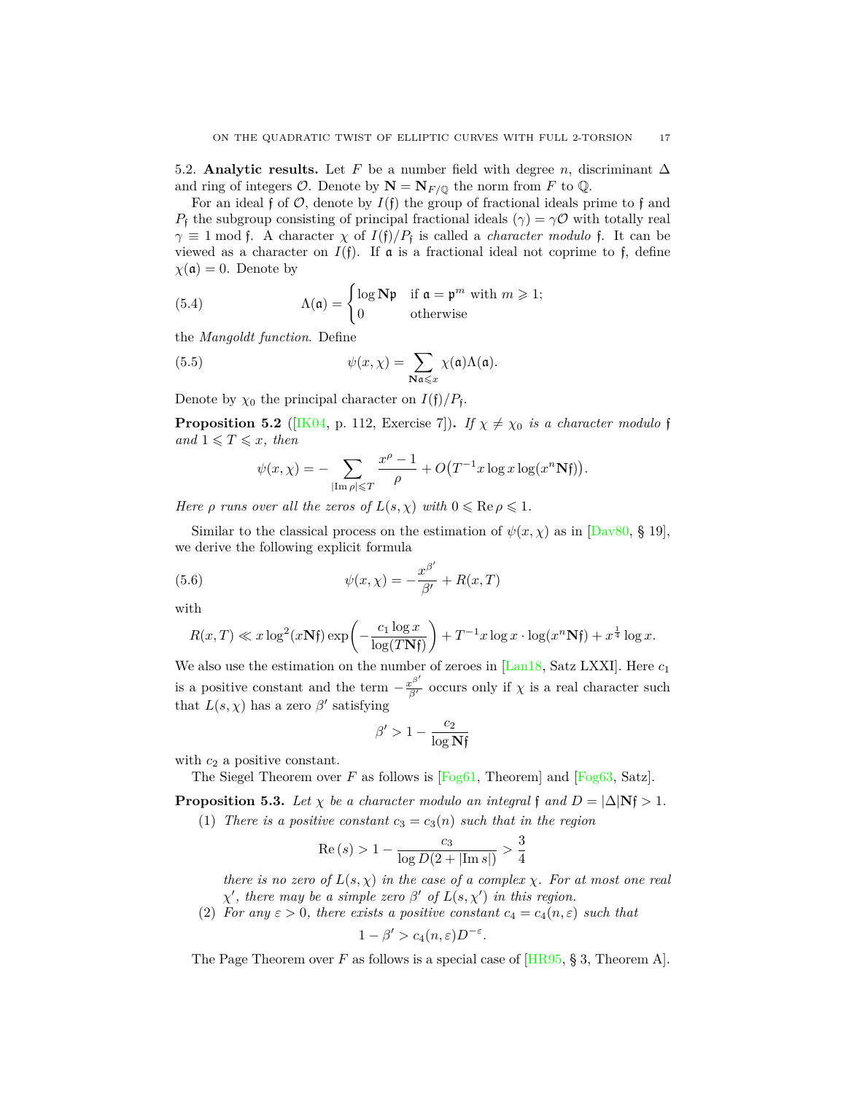<span id="page-16-0"></span>5.2. **Analytic results.** Let *F* be a number field with degree *n*, discriminant  $\Delta$ and ring of integers  $\mathcal{O}$ . Denote by  $\mathbf{N} = \mathbf{N}_{F/\mathbb{Q}}$  the norm from *F* to  $\mathbb{Q}$ .

For an ideal f of  $\mathcal{O}$ , denote by  $I(f)$  the group of fractional ideals prime to f and *P*<sub>f</sub> the subgroup consisting of principal fractional ideals ( $\gamma$ ) =  $\gamma$ *O* with totally real  $\gamma \equiv 1 \mod f$ . A character  $\chi$  of  $I(f)/P_f$  is called a *character modulo* f. It can be viewed as a character on  $I(f)$ . If  $\alpha$  is a fractional ideal not coprime to f, define  $\chi(\mathfrak{a})=0$ . Denote by

<span id="page-16-1"></span>(5.4) 
$$
\Lambda(\mathfrak{a}) = \begin{cases} \log \mathbf{N} \mathfrak{p} & \text{if } \mathfrak{a} = \mathfrak{p}^m \text{ with } m \geq 1; \\ 0 & \text{otherwise} \end{cases}
$$

the *Mangoldt function*. Define

(5.5) 
$$
\psi(x,\chi) = \sum_{\mathbf{N}\mathfrak{a}\leqslant x} \chi(\mathfrak{a})\Lambda(\mathfrak{a}).
$$

Denote by  $\chi_0$  the principal character on  $I(f)/P_f$ .

**Proposition 5.2** ([[IK04](#page-25-9), p. 112, Exercise 7]). *If*  $\chi \neq \chi_0$  *is a character modulo* f *and*  $1 \leq T \leq x$ *, then* 

<span id="page-16-4"></span><span id="page-16-2"></span>
$$
\psi(x,\chi) = -\sum_{|\text{Im }\rho| \leqslant T} \frac{x^{\rho}-1}{\rho} + O\big(T^{-1}x \log x \log(x^n \mathbf{N} \mathfrak{f})\big).
$$

*Here ρ runs over all the zeros of*  $L(s, \chi)$  *with*  $0 \le \text{Re } \rho \le 1$ *.* 

Similar to the classical process on the estimation of  $\psi(x, \chi)$  as in [[Dav80](#page-24-4), § 19], we derive the following explicit formula

(5.6) 
$$
\psi(x, \chi) = -\frac{x^{\beta'}}{\beta'} + R(x, T)
$$

with

$$
R(x,T) \ll x \log^2(x\mathbf{N} \mathfrak{f}) \exp\left(-\frac{c_1 \log x}{\log(T\mathbf{N} \mathfrak{f})}\right) + T^{-1} x \log x \cdot \log(x^n\mathbf{N} \mathfrak{f}) + x^{\frac{1}{4}} \log x.
$$

We also use the estimation on the number of zeroes in [[Lan18](#page-25-10), Satz LXXI]. Here *c*<sup>1</sup> is a positive constant and the term  $-\frac{x^{\beta'}}{\beta'}$  occurs only if  $\chi$  is a real character such that  $L(s, \chi)$  has a zero  $\beta'$  satisfying

$$
\beta' > 1 - \frac{c_2}{\log \mathbf{N} \mathfrak{f}}
$$

with  $c_2$  a positive constant.

The Siegel Theorem over *F* as follows is  $[F \circ g 61,$  Theorem and  $[F \circ g 63, S \circ g 366, S \circ g 566, S \circ g 676]$ 

<span id="page-16-3"></span>**Proposition 5.3.** *Let*  $\chi$  *be a character modulo an integral* f *and*  $D = |\Delta|$ **N**f  $> 1$ *.* 

(1) *There is a positive constant*  $c_3 = c_3(n)$  *such that in the region* 

$$
\operatorname{Re}\left(s\right) > 1-\frac{c_3}{\log D(2+|\mathrm{Im}\, s|)} > \frac{3}{4}
$$

*there is no zero of*  $L(s, \chi)$  *in the case of a complex*  $\chi$ *. For at most one real χ ′ , there may be a simple zero β ′ of L*(*s, χ′* ) *in this region.*

(2) *For any*  $\varepsilon > 0$ *, there exists a positive constant*  $c_4 = c_4(n, \varepsilon)$  *such that* 

$$
1 - \beta' > c_4(n, \varepsilon) D^{-\varepsilon}.
$$

The Page Theorem over *F* as follows is a special case of [\[HR95,](#page-25-11) § 3, Theorem A].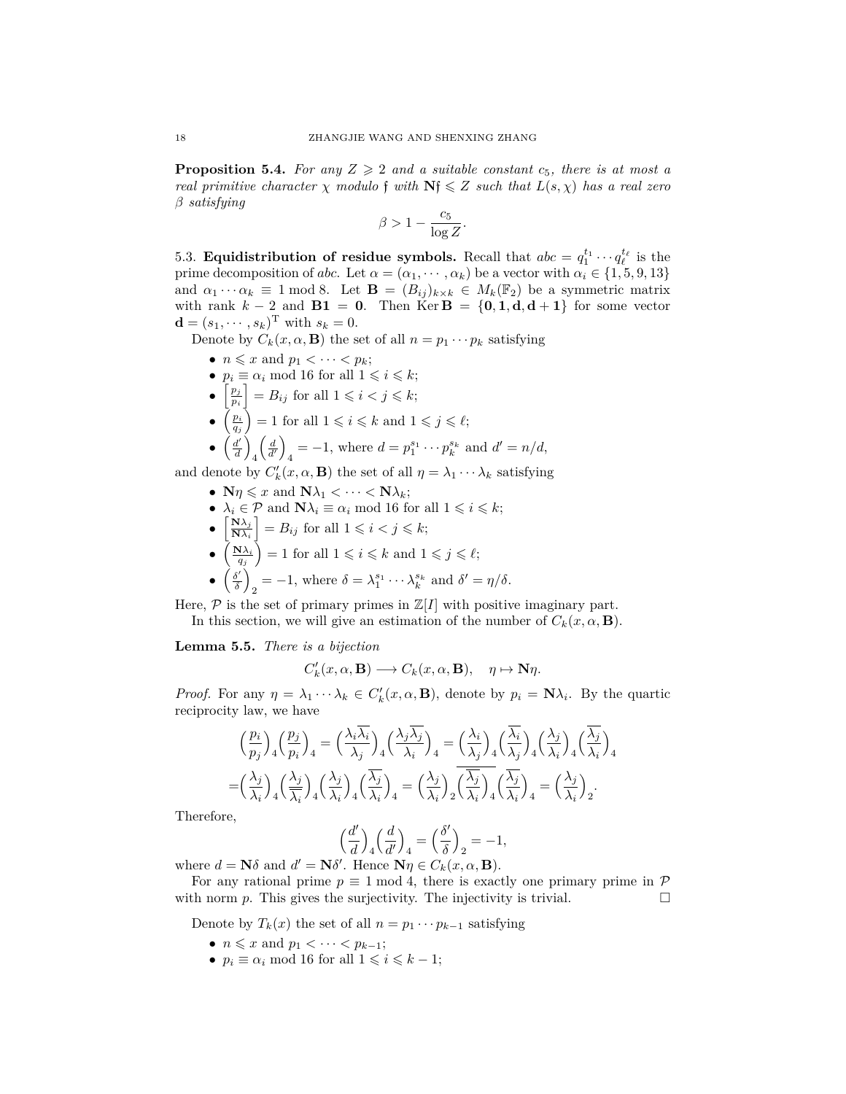<span id="page-17-2"></span>**Proposition 5.4.** For any  $Z \geq 2$  and a suitable constant  $c_5$ , there is at most a *real primitive character*  $\chi$  *modulo*  $\mathbf{f}$  *with*  $\mathbf{N}\mathbf{f} \leq Z$  *such that*  $L(s, \chi)$  *has a real zero β satisfying*

$$
\beta > 1 - \frac{c_5}{\log Z}.
$$

<span id="page-17-0"></span>5.3. **Equidistribution of residue symbols.** Recall that  $abc = q_1^{t_1} \cdots q_\ell^{t_\ell}$  is the prime decomposition of *abc*. Let  $\alpha = (\alpha_1, \dots, \alpha_k)$  be a vector with  $\alpha_i \in \{1, 5, 9, 13\}$ and  $\alpha_1 \cdots \alpha_k \equiv 1 \mod 8$ . Let  $\mathbf{B} = (B_{ij})_{k \times k} \in M_k(\mathbb{F}_2)$  be a symmetric matrix with rank  $k - 2$  and  $\mathbf{B1} = \mathbf{0}$ . Then Ker  $\mathbf{B} = \{\mathbf{0}, \mathbf{1}, \mathbf{d}, \mathbf{d} + \mathbf{1}\}$  for some vector  **with**  $s_k = 0$ **.** 

Denote by  $C_k(x, \alpha, \mathbf{B})$  the set of all  $n = p_1 \cdots p_k$  satisfying

- $n \leq x$  and  $p_1 < \cdots < p_k$ ;
- $p_i \equiv \alpha_i \mod 16$  for all  $1 \leq i \leq k$ ;
- $\bullet$   $\left[\frac{p_j}{p_j}\right]$  $\left\lfloor \frac{p_j}{p_i} \right\rfloor = B_{ij}$  for all  $1 \leqslant i < j \leqslant k$ ;
- $\bullet$   $\left(\frac{p_i}{q_j}\right) = 1$  for all  $1 \leqslant i \leqslant k$  and  $1 \leqslant j \leqslant \ell$ ;

• 
$$
\left(\frac{d'}{d}\right)_4 \left(\frac{d}{d'}\right)_4 = -1
$$
, where  $d = p_1^{s_1} \cdots p_k^{s_k}$  and  $d' = n/d$ ,

and denote by  $C'_{k}(x, \alpha, \mathbf{B})$  the set of all  $\eta = \lambda_1 \cdots \lambda_k$  satisfying

- $N\eta \leqslant x$  and  $N\lambda_1 < \cdots < N\lambda_k$ ;
- $\lambda_i \in \mathcal{P}$  and  $\mathbf{N}\lambda_i \equiv \alpha_i \mod 16$  for all  $1 \leq i \leq k$ ;
- $\bullet$   $\left[\frac{\mathbf{N}\lambda_j}{\mathbf{N}\lambda_j}\right]$  $\left| \frac{\mathbf{N}\lambda_j}{\mathbf{N}\lambda_i} \right| = B_{ij}$  for all  $1 \leqslant i < j \leqslant k$ ;
- $\bullet$   $\left(\frac{\mathbf{N}\lambda_i}{q_j}\right) = 1$  for all  $1 \leqslant i \leqslant k$  and  $1 \leqslant j \leqslant \ell;$
- **•**  $\left(\frac{\delta'}{\delta}\right)$  $\lambda_2 = -1$ , where  $\delta = \lambda_1^{s_1} \cdots \lambda_k^{s_k}$  and  $\delta' = \eta/\delta$ .

Here,  $P$  is the set of primary primes in  $\mathbb{Z}[I]$  with positive imaginary part.

In this section, we will give an estimation of the number of  $C_k(x, \alpha, \mathbf{B})$ .

<span id="page-17-1"></span>**Lemma 5.5.** *There is a bijection*

$$
C'_{k}(x,\alpha,\mathbf{B})\longrightarrow C_{k}(x,\alpha,\mathbf{B}), \quad \eta\mapsto \mathbf{N}\eta.
$$

*Proof.* For any  $\eta = \lambda_1 \cdots \lambda_k \in C'_k(x, \alpha, \mathbf{B})$ , denote by  $p_i = \mathbf{N} \lambda_i$ . By the quartic reciprocity law, we have

$$
\left(\frac{p_i}{p_j}\right)_4 \left(\frac{p_j}{p_i}\right)_4 = \left(\frac{\lambda_i \overline{\lambda_i}}{\lambda_j}\right)_4 \left(\frac{\lambda_j \overline{\lambda_j}}{\lambda_i}\right)_4 = \left(\frac{\lambda_i}{\lambda_j}\right)_4 \left(\frac{\overline{\lambda_i}}{\lambda_j}\right)_4 \left(\frac{\lambda_j}{\lambda_i}\right)_4 \left(\frac{\overline{\lambda_j}}{\lambda_i}\right)_4
$$

$$
= \left(\frac{\lambda_j}{\lambda_i}\right)_4 \left(\frac{\lambda_j}{\overline{\lambda_i}}\right)_4 \left(\frac{\overline{\lambda_j}}{\lambda_i}\right)_4 \left(\frac{\overline{\lambda_j}}{\overline{\lambda_i}}\right)_4 = \left(\frac{\lambda_j}{\overline{\lambda_i}}\right)_2 \left(\frac{\overline{\lambda_j}}{\overline{\lambda_i}}\right)_4 \left(\frac{\overline{\lambda_j}}{\overline{\lambda_i}}\right)_4 = \left(\frac{\lambda_j}{\overline{\lambda_i}}\right)_2.
$$

Therefore,

$$
\left(\frac{d'}{d}\right)_4 \left(\frac{d}{d'}\right)_4 = \left(\frac{\delta'}{\delta}\right)_2 = -1,
$$

where  $d = \mathbf{N}\delta$  and  $d' = \mathbf{N}\delta'$ . Hence  $\mathbf{N}\eta \in C_k(x, \alpha, \mathbf{B})$ .

For any rational prime  $p \equiv 1 \mod 4$ , there is exactly one primary prime in  $\mathcal{P}$ with norm  $p$ . This gives the surjectivity. The injectivity is trivial.

Denote by  $T_k(x)$  the set of all  $n = p_1 \cdots p_{k-1}$  satisfying

- $n \leq x$  and  $p_1 < \cdots < p_{k-1}$ ;
- $p_i \equiv \alpha_i \mod 16$  for all  $1 \leq i \leq k-1$ ;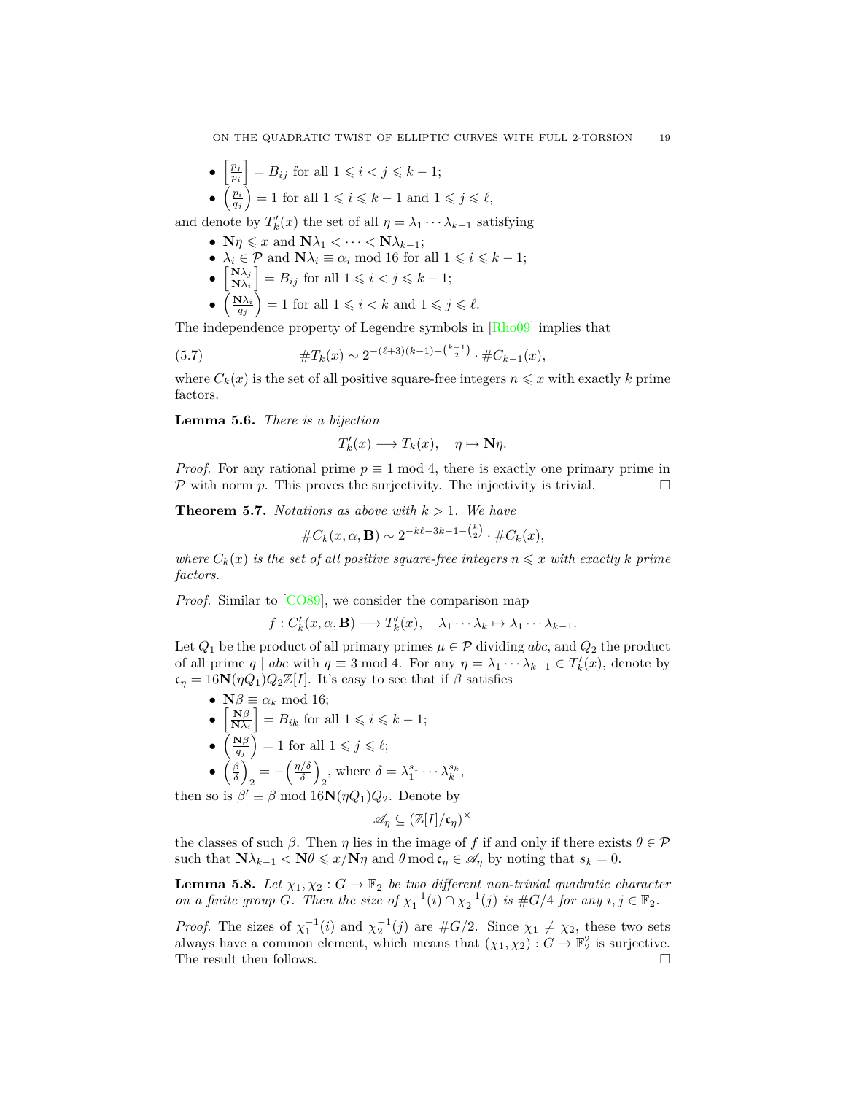• 
$$
\left[\frac{p_j}{p_i}\right] = B_{ij}
$$
 for all  $1 \leq i < j \leq k - 1$ ;

•  $\left(\frac{p_i}{q_j}\right) = 1$  for all  $1 \leqslant i \leqslant k - 1$  and  $1 \leqslant j \leqslant \ell$ ,

and denote by  $T'_{k}(x)$  the set of all  $\eta = \lambda_1 \cdots \lambda_{k-1}$  satisfying

- $N\eta \leqslant x$  and  $N\lambda_1 < \cdots < N\lambda_{k-1}$ ;
- $\lambda_i \in \mathcal{P}$  and  $\mathbf{N}\lambda_i \equiv \alpha_i \mod 16$  for all  $1 \leq i \leq k-1$ ;
- $\bullet$   $\left[\frac{\mathbf{N}\lambda_j}{\mathbf{N}\lambda_j}\right]$  $\left[\frac{\mathbf{N}\lambda_j}{\mathbf{N}\lambda_i}\right] = B_{ij}$  for all  $1 \leqslant i < j \leqslant k-1$ ;
- $\bullet$   $\left(\frac{\mathbf{N}\lambda_i}{q_j}\right) = 1$  for all  $1 \leqslant i < k$  and  $1 \leqslant j \leqslant \ell$ .

The independence property of Legendre symbols in [\[Rho09\]](#page-25-2) implies that

(5.7) 
$$
\#T_k(x) \sim 2^{-(\ell+3)(k-1) - \binom{k-1}{2}} \cdot \#C_{k-1}(x),
$$

where  $C_k(x)$  is the set of all positive square-free integers  $n \leq x$  with exactly k prime factors.

<span id="page-18-1"></span>**Lemma 5.6.** *There is a bijection*

h

<span id="page-18-2"></span>
$$
T'_{k}(x) \longrightarrow T_{k}(x), \quad \eta \mapsto \mathbf{N}\eta.
$$

*Proof.* For any rational prime  $p \equiv 1 \mod 4$ , there is exactly one primary prime in  $P$  with norm  $p$ . This proves the surjectivity. The injectivity is trivial.

<span id="page-18-3"></span>**Theorem 5.7.** *Notations as above with*  $k > 1$ *. We have* 

$$
\#C_k(x, \alpha, \mathbf{B}) \sim 2^{-k\ell - 3k - 1 - {k \choose 2}} \cdot \#C_k(x),
$$

*where*  $C_k(x)$  *is the set of all positive square-free integers*  $n \leq x$  *with exactly*  $k$  *prime factors.*

*Proof.* Similar to [\[CO89](#page-24-1)], we consider the comparison map

$$
f: C'_{k}(x, \alpha, \mathbf{B}) \longrightarrow T'_{k}(x), \quad \lambda_{1} \cdots \lambda_{k} \mapsto \lambda_{1} \cdots \lambda_{k-1}.
$$

Let  $Q_1$  be the product of all primary primes  $\mu \in \mathcal{P}$  dividing *abc*, and  $Q_2$  the product of all prime  $q \mid abc$  with  $q \equiv 3 \mod 4$ . For any  $\eta = \lambda_1 \cdots \lambda_{k-1} \in T'_k(x)$ , denote by  $c_n = 16N(\eta Q_1)Q_2\mathbb{Z}[I]$ . It's easy to see that if  $\beta$  satisfies

•  $\mathbf{N}\beta \equiv \alpha_k \mod 16;$  $\bullet$   $\left[\frac{\mathbf{N}\beta}{\mathbf{N}\lambda_i}\right] = B_{ik}$  for all  $1 \leqslant i \leqslant k-1$ ; •  $\left(\frac{\mathbf{N}\beta}{q_j}\right) = 1$  for all  $1 \leqslant j \leqslant \ell;$ *• β δ*  $\frac{1}{2} = -\left(\frac{\eta/\delta}{\delta}\right)$  $\frac{\sqrt{\delta}}{\delta}$  $\lambda_2^s$ , where  $\delta = \lambda_1^{s_1} \cdots \lambda_k^{s_k}$ ,

then so is  $\beta' \equiv \beta \mod 16\mathbf{N}(\eta Q_1)Q_2$ . Denote by

$$
\mathscr{A}_{\eta} \subseteq (\mathbb{Z}[I]/\mathfrak{c}_{\eta})^{\times}
$$

the classes of such  $\beta$ . Then  $\eta$  lies in the image of f if and only if there exists  $\theta \in \mathcal{P}$ such that  $\mathbf{N}\lambda_{k-1} < \mathbf{N}\theta \leqslant x/\mathbf{N}\eta$  and  $\theta \mod \mathfrak{c}_{\eta} \in \mathscr{A}_{\eta}$  by noting that  $s_k = 0$ .

<span id="page-18-0"></span>**Lemma 5.8.** Let  $\chi_1, \chi_2 : G \to \mathbb{F}_2$  be two different non-trivial quadratic character *on a finite group G*. Then the size of  $\chi_1^{-1}(i) \cap \chi_2^{-1}(j)$  is  $\#G/4$  for any  $i, j \in \mathbb{F}_2$ .

*Proof.* The sizes of  $\chi_1^{-1}(i)$  and  $\chi_2^{-1}(j)$  are  $\#G/2$ . Since  $\chi_1 \neq \chi_2$ , these two sets always have a common element, which means that  $(\chi_1, \chi_2) : G \to \mathbb{F}_2^2$  is surjective. The result then follows.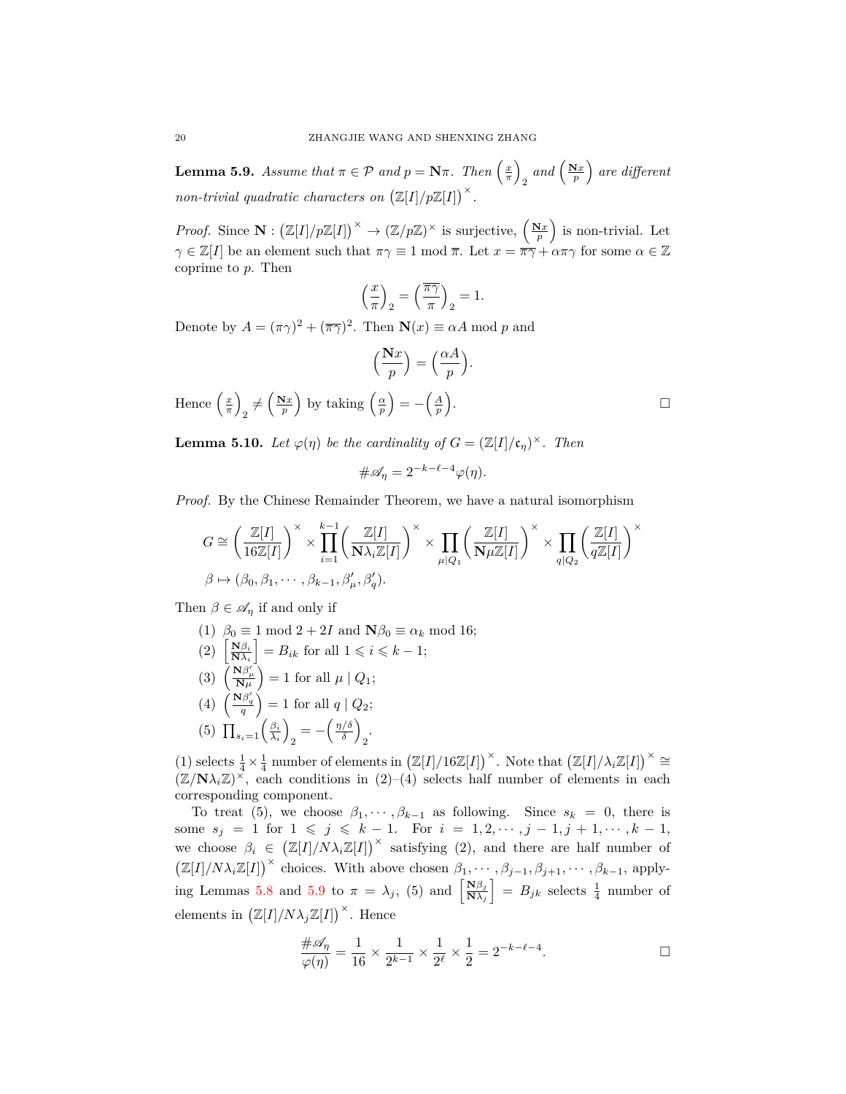<span id="page-19-0"></span>**Lemma 5.9.** *Assume that*  $\pi \in \mathcal{P}$  *and*  $p = \mathbf{N}\pi$ *. Then*  $\left(\frac{x}{\pi}\right)$  $\sum_{p}$  and  $\left(\frac{\mathbf{N}x}{p}\right)$  are different *non-trivial quadratic characters on*  $(\mathbb{Z}[I]/p\mathbb{Z}[I])^{\times}$ .

*Proof.* Since  $\mathbf{N} : (\mathbb{Z}[I]/p\mathbb{Z}[I])^{\times} \to (\mathbb{Z}/p\mathbb{Z})^{\times}$  is surjective,  $(\frac{\mathbf{N}x}{p})$  is non-trivial. Let *γ*  $\in \mathbb{Z}[I]$  be an element such that  $\pi \gamma \equiv 1 \mod \overline{\pi}$ . Let  $x = \pi \gamma + \alpha \pi \gamma$  for some  $\alpha \in \mathbb{Z}$ coprime to *p*. Then

$$
\left(\frac{x}{\pi}\right)_2 = \left(\frac{\overline{\pi\gamma}}{\pi}\right)_2 = 1.
$$

Denote by  $A = (\pi \gamma)^2 + (\overline{\pi \gamma})^2$ . Then  $\mathbf{N}(x) \equiv \alpha A \text{ mod } p$  and

$$
\left(\frac{\mathbf{N}x}{p}\right) = \left(\frac{\alpha A}{p}\right).
$$

Hence  $\left(\frac{x}{\pi}\right)$  $\frac{1}{2} \neq \left(\frac{\mathbf{N}x}{p}\right)$  by taking  $\left(\frac{\alpha}{p}\right) = -\left(\frac{A}{p}\right)$ 

<span id="page-19-1"></span>**Lemma 5.10.** *Let*  $\varphi(\eta)$  *be the cardinality of*  $G = (\mathbb{Z}[I]/\mathfrak{c}_{\eta})^{\times}$ *. Then* 

$$
\#\mathscr{A}_{\eta} = 2^{-k-\ell-4}\varphi(\eta).
$$

*Proof.* By the Chinese Remainder Theorem, we have a natural isomorphism

$$
G \cong \left(\frac{\mathbb{Z}[I]}{16\mathbb{Z}[I]}\right)^{\times} \times \prod_{i=1}^{k-1} \left(\frac{\mathbb{Z}[I]}{\mathbf{N}\lambda_i \mathbb{Z}[I]}\right)^{\times} \times \prod_{\mu|Q_1} \left(\frac{\mathbb{Z}[I]}{\mathbf{N}\mu \mathbb{Z}[I]}\right)^{\times} \times \prod_{q|Q_2} \left(\frac{\mathbb{Z}[I]}{q\mathbb{Z}[I]}\right)^{\times}
$$

$$
\beta \mapsto (\beta_0, \beta_1, \cdots, \beta_{k-1}, \beta'_{\mu}, \beta'_{q}).
$$

Then  $\beta \in \mathcal{A}_n$  if and only if

- $(1)$   $\beta_0 \equiv 1 \mod 2 + 2I$  and  $\mathbf{N}\beta_0 \equiv \alpha_k \mod 16;$
- $\left[\frac{\mathbf{N}\beta_i}{\mathbf{N}\lambda_i}\right] = B_{ik}$  for all  $1 \leqslant i \leqslant k-1$ ;

(3) 
$$
\left(\frac{\mathbf{N}\beta'_{\mu}}{\mathbf{N}\mu}\right) = 1
$$
 for all  $\mu \mid Q_1$ ;

- $(4) \left( \frac{N\beta'_{q}}{q} \right) = 1$  for all  $q | Q_{2};$
- (5)  $\prod_{s_i=1} \left( \frac{\beta_i}{\lambda_i} \right)$  $\frac{1}{2} = -\left(\frac{\eta/\delta}{\delta}\right)$  $\frac{\sqrt{\delta}}{\delta}$  $\frac{1}{2}$

(1) selects  $\frac{1}{4} \times \frac{1}{4}$  number of elements in  $(\mathbb{Z}[I]/16\mathbb{Z}[I])^{\times}$ . Note that  $(\mathbb{Z}[I]/\lambda_i \mathbb{Z}[I])^{\times} \cong$  $(\mathbb{Z}/N\lambda_i\mathbb{Z})^{\times}$ , each conditions in (2)–(4) selects half number of elements in each corresponding component.

To treat (5), we choose  $\beta_1, \dots, \beta_{k-1}$  as following. Since  $s_k = 0$ , there is some  $s_j = 1$  for  $1 \leq j \leq k-1$ . For  $i = 1, 2, \dots, j-1, j+1, \dots, k-1$ , we choose  $\beta_i \in (\mathbb{Z}[I]/N\lambda_i\mathbb{Z}[I])^{\times}$  satisfying (2), and there are half number of  $(\mathbb{Z}[I]/N\lambda_i\mathbb{Z}[I])^{\times}$  choices. With above chosen  $\beta_1, \dots, \beta_{j-1}, \beta_{j+1}, \dots, \beta_{k-1}$ , apply-ing Lemmas [5.8](#page-18-0) and [5.9](#page-19-0) to  $\pi = \lambda_j$ , (5) and  $\left[\frac{N\beta_j}{N\lambda_j}\right]$  $\left[\frac{\mathbf{N}\beta_j}{\mathbf{N}\lambda_j}\right] = B_{jk}$  selects  $\frac{1}{4}$  number of elements in  $(\mathbb{Z}[I]/N\lambda_j\mathbb{Z}[I])^{\times}$ . Hence

$$
\frac{\#\mathscr{A}_\eta}{\varphi(\eta)} = \frac{1}{16} \times \frac{1}{2^{k-1}} \times \frac{1}{2^\ell} \times \frac{1}{2} = 2^{-k-\ell-4}.
$$

.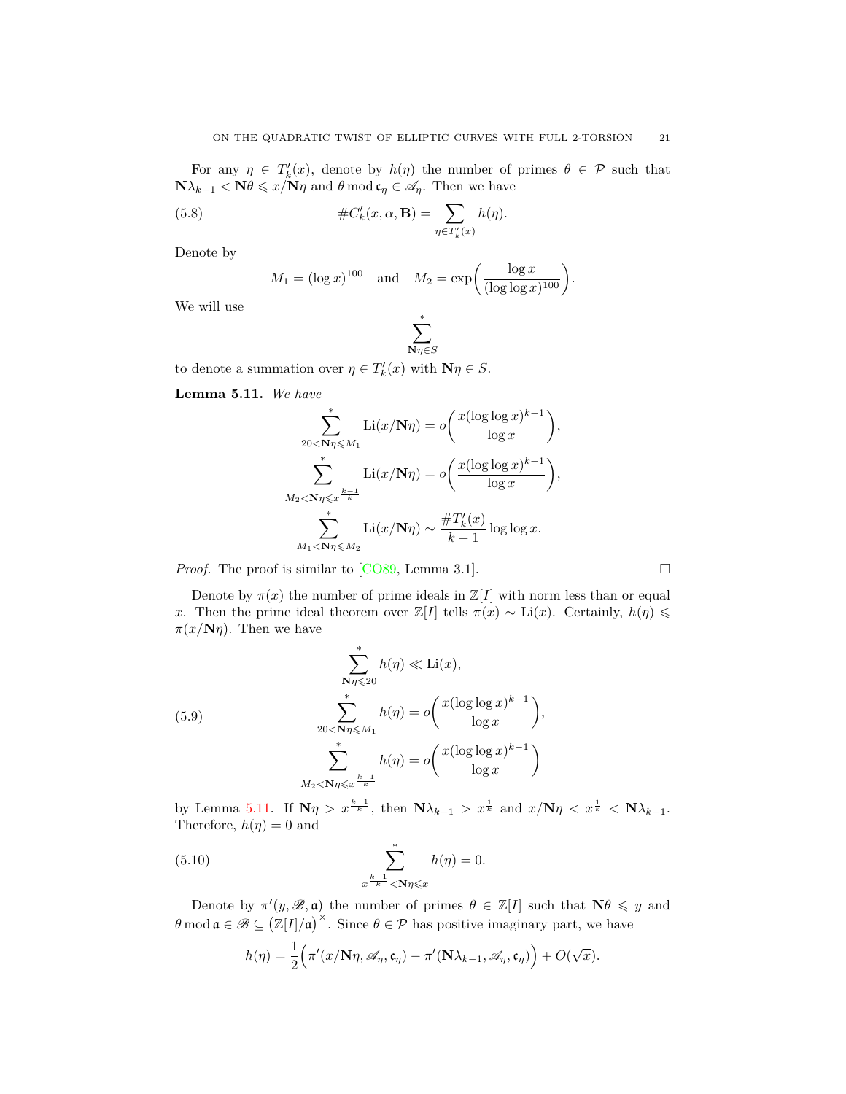For any  $\eta \in T'_{k}(x)$ , denote by  $h(\eta)$  the number of primes  $\theta \in \mathcal{P}$  such that  $N\lambda_{k-1} < N\theta \leqslant x/N\eta$  and  $\theta \mod{c_{\eta}} \in \mathscr{A}_{\eta}$ . Then we have

(5.8) 
$$
\#C'_{k}(x,\alpha,\mathbf{B})=\sum_{\eta\in T'_{k}(x)}h(\eta).
$$

Denote by

<span id="page-20-1"></span>
$$
M_1 = (\log x)^{100}
$$
 and  $M_2 = \exp\left(\frac{\log x}{(\log \log x)^{100}}\right).$ 

We will use

$$
\sum_{\mathbf{N}\eta\in S}^*
$$

to denote a summation over  $\eta \in T'_{k}(x)$  with  $\mathbf{N}\eta \in S$ .

<span id="page-20-0"></span>**Lemma 5.11.** *We have*

$$
\sum_{20 < \mathbf{N}\eta \le M_1}^* \mathrm{Li}(x/\mathbf{N}\eta) = o\left(\frac{x(\log\log x)^{k-1}}{\log x}\right),
$$
\n
$$
\sum_{M_2 < \mathbf{N}\eta \le x^{\frac{k-1}{k}}}^* \mathrm{Li}(x/\mathbf{N}\eta) = o\left(\frac{x(\log\log x)^{k-1}}{\log x}\right),
$$
\n
$$
\sum_{M_1 < \mathbf{N}\eta \le M_2}^* \mathrm{Li}(x/\mathbf{N}\eta) \sim \frac{\#T_k'(x)}{k-1} \log\log x.
$$

*Proof.* The proof is similar to [\[CO89](#page-24-1), Lemma 3.1].

Denote by  $\pi(x)$  the number of prime ideals in  $\mathbb{Z}[I]$  with norm less than or equal *x*. Then the prime ideal theorem over  $\mathbb{Z}[I]$  tells  $\pi(x) \sim \text{Li}(x)$ . Certainly,  $h(\eta) \leq$  $\pi(x/N\eta)$ . Then we have

<span id="page-20-2"></span>(5.9)  
\n
$$
\sum_{N\eta\leqslant 20}^{*} h(\eta) \ll \text{Li}(x),
$$
\n
$$
\sum_{20 < N\eta \leqslant M_1}^{*} h(\eta) = o\left(\frac{x(\log \log x)^{k-1}}{\log x}\right),
$$
\n
$$
\sum_{M_2 < N\eta \leqslant x^{\frac{k-1}{k}}}^{*} h(\eta) = o\left(\frac{x(\log \log x)^{k-1}}{\log x}\right)
$$

by Lemma [5.11.](#page-20-0) If  $\mathbf{N}\eta > x^{\frac{k-1}{k}}$ , then  $\mathbf{N}\lambda_{k-1} > x^{\frac{1}{k}}$  and  $x/\mathbf{N}\eta < x^{\frac{1}{k}} < \mathbf{N}\lambda_{k-1}$ . Therefore,  $h(\eta) = 0$  and

(5.10) 
$$
\sum_{\substack{k=1 \ n \neq k}}^{*} h(\eta) = 0.
$$

Denote by  $\pi'(y, \mathcal{B}, \mathfrak{a})$  the number of primes  $\theta \in \mathbb{Z}[I]$  such that  $\mathbb{N}\theta \leq y$  and  $\theta$  mod  $\mathfrak{a} \in \mathscr{B} \subseteq (\mathbb{Z}[I]/\mathfrak{a})^{\times}$ . Since  $\theta \in \mathcal{P}$  has positive imaginary part, we have

<span id="page-20-3"></span>
$$
h(\eta) = \frac{1}{2} \Big( \pi'(x/\mathbf{N}\eta, \mathscr{A}_{\eta}, \mathfrak{c}_{\eta}) - \pi'(\mathbf{N}\lambda_{k-1}, \mathscr{A}_{\eta}, \mathfrak{c}_{\eta}) \Big) + O(\sqrt{x}).
$$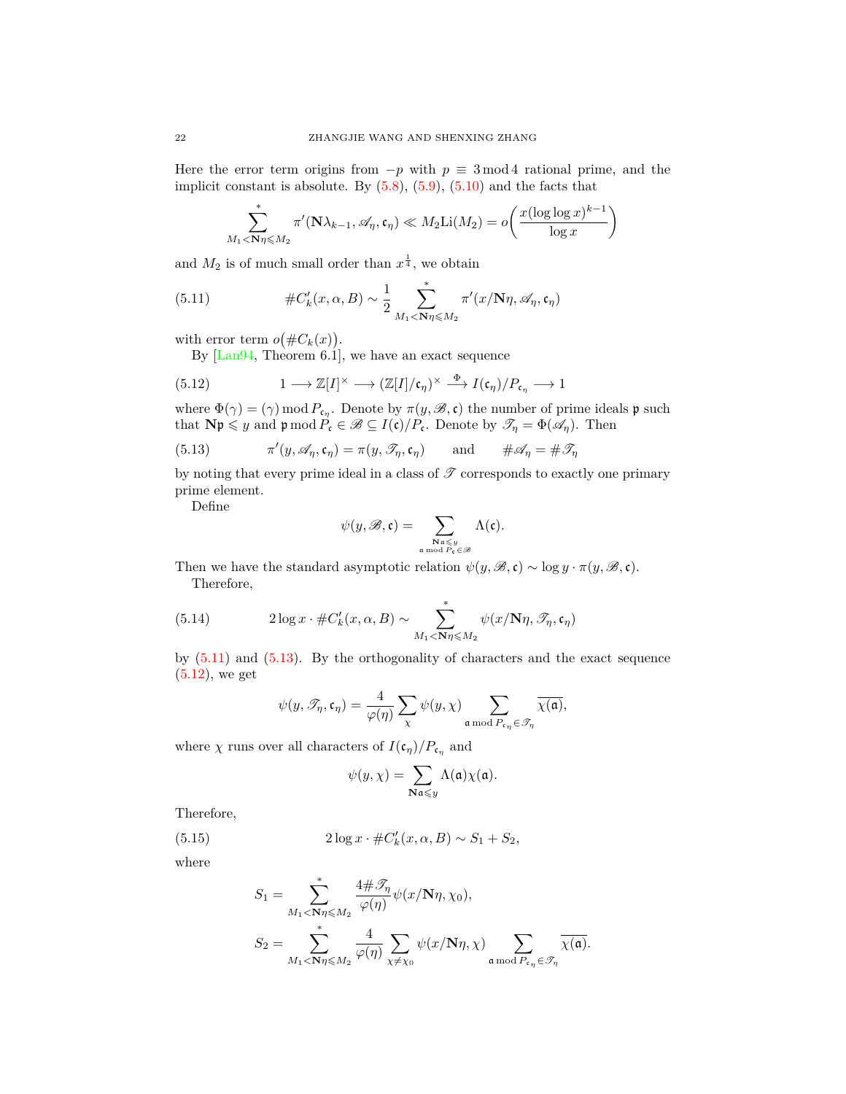Here the error term origins from *−p* with *p ≡* 3 mod 4 rational prime, and the implicit constant is absolute. By  $(5.8)$ ,  $(5.9)$  $(5.9)$  $(5.9)$ ,  $(5.10)$  and the facts that

<span id="page-21-0"></span>
$$
\sum_{M_1 < \mathbf{N}\eta \leqslant M_2}^* \pi'(\mathbf{N}\lambda_{k-1}, \mathscr{A}_{\eta}, \mathfrak{c}_{\eta}) \ll M_2 \text{Li}(M_2) = o\left(\frac{x(\log\log x)^{k-1}}{\log x}\right)
$$

and  $M_2$  is of much small order than  $x^{\frac{1}{4}}$ , we obtain

(5.11) 
$$
\#C'_{k}(x,\alpha,B) \sim \frac{1}{2} \sum_{M_1 < \mathbf{N}\eta \leq M_2}^* \pi'(x/\mathbf{N}\eta, \mathscr{A}_{\eta}, \mathfrak{c}_{\eta})
$$

with error term  $o(\#C_k(x)).$ 

<span id="page-21-2"></span>By  $\left[ \text{Lan}94, \text{ Theorem } 6.1 \right]$ , we have an exact sequence

(5.12) 
$$
1 \longrightarrow \mathbb{Z}[I]^{\times} \longrightarrow (\mathbb{Z}[I]/\mathfrak{c}_{\eta})^{\times} \stackrel{\Phi}{\longrightarrow} I(\mathfrak{c}_{\eta})/P_{\mathfrak{c}_{\eta}} \longrightarrow 1
$$

where  $\Phi(\gamma) = (\gamma) \mod P_{\mathfrak{c}_{\eta}}$ . Denote by  $\pi(y, \mathscr{B}, \mathfrak{c})$  the number of prime ideals  $\mathfrak{p}$  such that  $N\mathfrak{p} \leq y$  and  $\mathfrak{p} \mod P_c \in \mathscr{B} \subseteq I(\mathfrak{c})/P_c$ . Denote by  $\mathscr{T}_{\eta} = \Phi(\mathscr{A}_{\eta})$ . Then

<span id="page-21-1"></span>(5.13) 
$$
\pi'(y, \mathscr{A}_{\eta}, \mathfrak{c}_{\eta}) = \pi(y, \mathscr{T}_{\eta}, \mathfrak{c}_{\eta}) \quad \text{and} \quad \# \mathscr{A}_{\eta} = \# \mathscr{T}_{\eta}
$$

by noting that every prime ideal in a class of  $\mathscr T$  corresponds to exactly one primary prime element.

Define

$$
\psi(y,\mathscr{B},\mathfrak{c})=\sum_{\substack{\mathbf{N}\mathfrak{a}\leqslant y \\ \mathfrak{a}\bmod{P_{\mathfrak{c}}}\in\mathscr{B}}} \Lambda(\mathfrak{c}).
$$

Then we have the standard asymptotic relation  $\psi(y, \mathcal{B}, \mathfrak{c}) \sim \log y \cdot \pi(y, \mathcal{B}, \mathfrak{c})$ . Therefore,

(5.14) 
$$
2\log x \cdot \#C'_k(x,\alpha,B) \sim \sum_{M_1 < \mathbf{N}\eta \leq M_2}^* \psi(x/\mathbf{N}\eta,\mathcal{T}_\eta,\mathfrak{c}_\eta)
$$

by [\(5.11\)](#page-21-0) and ([5.13](#page-21-1)). By the orthogonality of characters and the exact sequence ([5.12](#page-21-2)), we get

<span id="page-21-3"></span>
$$
\psi(y,\mathscr{T}_{\eta},\mathfrak{c}_{\eta})=\frac{4}{\varphi(\eta)}\sum_{\chi}\psi(y,\chi)\sum_{\mathfrak{a}\bmod P_{\mathfrak{c}_{\eta}}\in\mathscr{T}_{\eta}}\overline{\chi(\mathfrak{a})},
$$

where  $\chi$  runs over all characters of  $I(\mathfrak{c}_{\eta})/P_{\mathfrak{c}_{\eta}}$  and

$$
\psi(y,\chi)=\sum_{\mathbf{N}\mathfrak{a}\leqslant y}\Lambda(\mathfrak{a})\chi(\mathfrak{a}).
$$

Therefore,

(5.15)  $2 \log x \cdot #C'_{k}(x, \alpha, B) \sim S_1 + S_2,$ 

where

$$
\begin{split} S_1 &= \sum_{M_1 < \mathbf{N}\eta \leqslant M_2}^* \frac{4\# \mathscr{T}_{\eta}}{\varphi(\eta)} \psi(x/\mathbf{N}\eta, \chi_0), \\ S_2 &= \sum_{M_1 < \mathbf{N}\eta \leqslant M_2}^* \frac{4}{\varphi(\eta)} \sum_{\chi \neq \chi_0} \psi(x/\mathbf{N}\eta, \chi) \sum_{\mathfrak{a} \bmod P_{\mathfrak{c}_\eta} \in \mathscr{T}_\eta} \overline{\chi(\mathfrak{a})}. \end{split}
$$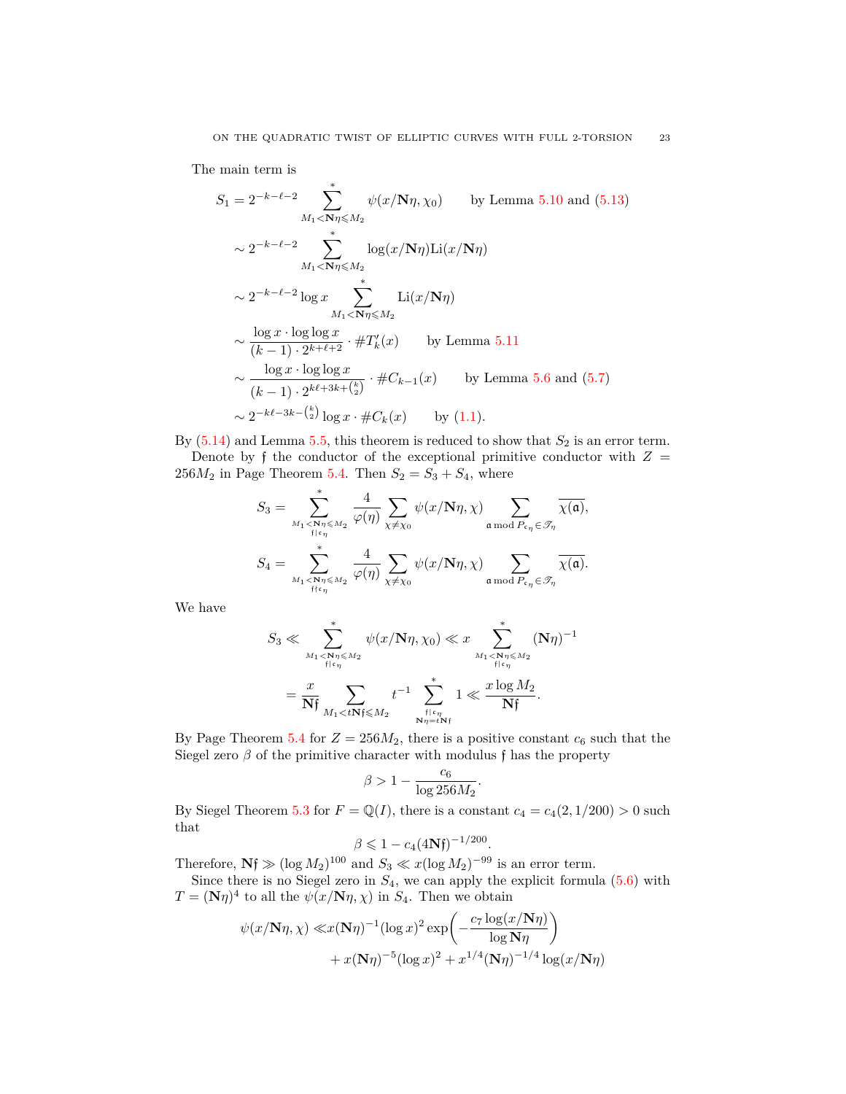The main term is

$$
S_1 = 2^{-k-\ell-2} \sum_{M_1 < \mathbf{N}\eta \le M_2}^* \psi(x/\mathbf{N}\eta, \chi_0) \quad \text{by Lemma 5.10 and (5.13)}
$$
\n
$$
\sim 2^{-k-\ell-2} \sum_{M_1 < \mathbf{N}\eta \le M_2}^* \log(x/\mathbf{N}\eta) \text{Li}(x/\mathbf{N}\eta)
$$
\n
$$
\sim 2^{-k-\ell-2} \log x \sum_{M_1 < \mathbf{N}\eta \le M_2}^* \text{Li}(x/\mathbf{N}\eta)
$$
\n
$$
\sim \frac{\log x \cdot \log \log x}{(k-1) \cdot 2^{k+\ell+2}} \cdot \#T'_k(x) \quad \text{by Lemma 5.11}
$$
\n
$$
\sim \frac{\log x \cdot \log \log x}{(k-1) \cdot 2^{k+\ell+3k+\binom{k}{2}}} \cdot \#C_{k-1}(x) \quad \text{by Lemma 5.6 and (5.7)}
$$
\n
$$
\sim 2^{-k\ell-3k-\binom{k}{2}} \log x \cdot \#C_k(x) \quad \text{by (1.1)}.
$$

By  $(5.14)$  $(5.14)$  $(5.14)$  and Lemma [5.5,](#page-17-1) this theorem is reduced to show that  $S_2$  is an error term. Denote by  $\mathfrak f$  the conductor of the exceptional primitive conductor with  $Z =$ 256 $M_2$  in Page Theorem [5.4.](#page-17-2) Then  $S_2 = S_3 + S_4$ , where

$$
S_3 = \sum_{\substack{M_1 < \mathbf{N}\eta \leqslant M_2 \\ \text{if } \mathfrak{c}_\eta}}^* \frac{4}{\varphi(\eta)} \sum_{\chi \neq \chi_0} \psi(x/\mathbf{N}\eta, \chi) \sum_{\mathfrak{a} \bmod P_{\mathfrak{c}_\eta} \in \mathcal{F}_\eta} \overline{\chi(\mathfrak{a})},
$$
  

$$
S_4 = \sum_{\substack{M_1 < \mathbf{N}\eta \leqslant M_2 \\ \text{if } \mathfrak{c}_\eta}}^* \frac{4}{\varphi(\eta)} \sum_{\chi \neq \chi_0} \psi(x/\mathbf{N}\eta, \chi) \sum_{\mathfrak{a} \bmod P_{\mathfrak{c}_\eta} \in \mathcal{F}_\eta} \overline{\chi(\mathfrak{a})}.
$$

We have

$$
S_3 \ll \sum_{\substack{M_1 < \mathbf{N}\eta \leq M_2 \\ \mathfrak{f} \mid \mathfrak{c}_\eta}}^* \psi(x/\mathbf{N}\eta, \chi_0) \ll x \sum_{\substack{M_1 < \mathbf{N}\eta \leq M_2 \\ \mathfrak{f} \mid \mathfrak{c}_\eta}}^* (\mathbf{N}\eta)^{-1}
$$
\n
$$
= \frac{x}{\mathbf{N}\mathfrak{f}} \sum_{\substack{M_1 < t \\ M_1 < t\mathbf{N}\mathfrak{f} \leq M_2}} t^{-1} \sum_{\substack{\mathfrak{f} \mid \mathfrak{c}_\eta \\ \mathbf{N}\eta = t\mathbf{N}\mathfrak{f}}}^* 1 \ll \frac{x \log M_2}{\mathbf{N}\mathfrak{f}}.
$$

By Page Theorem [5.4](#page-17-2) for  $Z = 256M_2$ , there is a positive constant  $c_6$  such that the Siegel zero $\beta$  of the primitive character with modulus  $\mathfrak f$  has the property

$$
\beta > 1 - \frac{c_6}{\log 256 M_2}.
$$

By Siegel Theorem [5.3](#page-16-3) for  $F = \mathbb{Q}(I)$ , there is a constant  $c_4 = c_4(2, 1/200) > 0$  such that

$$
\beta \leq 1 - c_4 (4Nf)^{-1/200}.
$$

Therefore,  $Nf \gg (\log M_2)^{100}$  and  $S_3 \ll x(\log M_2)^{-99}$  is an error term.

Since there is no Siegel zero in  $S_4$ , we can apply the explicit formula  $(5.6)$  $(5.6)$  with  $T = (\mathbf{N}\eta)^4$  to all the  $\psi(x/\mathbf{N}\eta, \chi)$  in  $S_4$ . Then we obtain

$$
\psi(x/\mathbf{N}\eta, \chi) \ll x(\mathbf{N}\eta)^{-1} (\log x)^2 \exp\left(-\frac{c_7 \log(x/\mathbf{N}\eta)}{\log \mathbf{N}\eta}\right) + x(\mathbf{N}\eta)^{-5} (\log x)^2 + x^{1/4} (\mathbf{N}\eta)^{-1/4} \log(x/\mathbf{N}\eta)
$$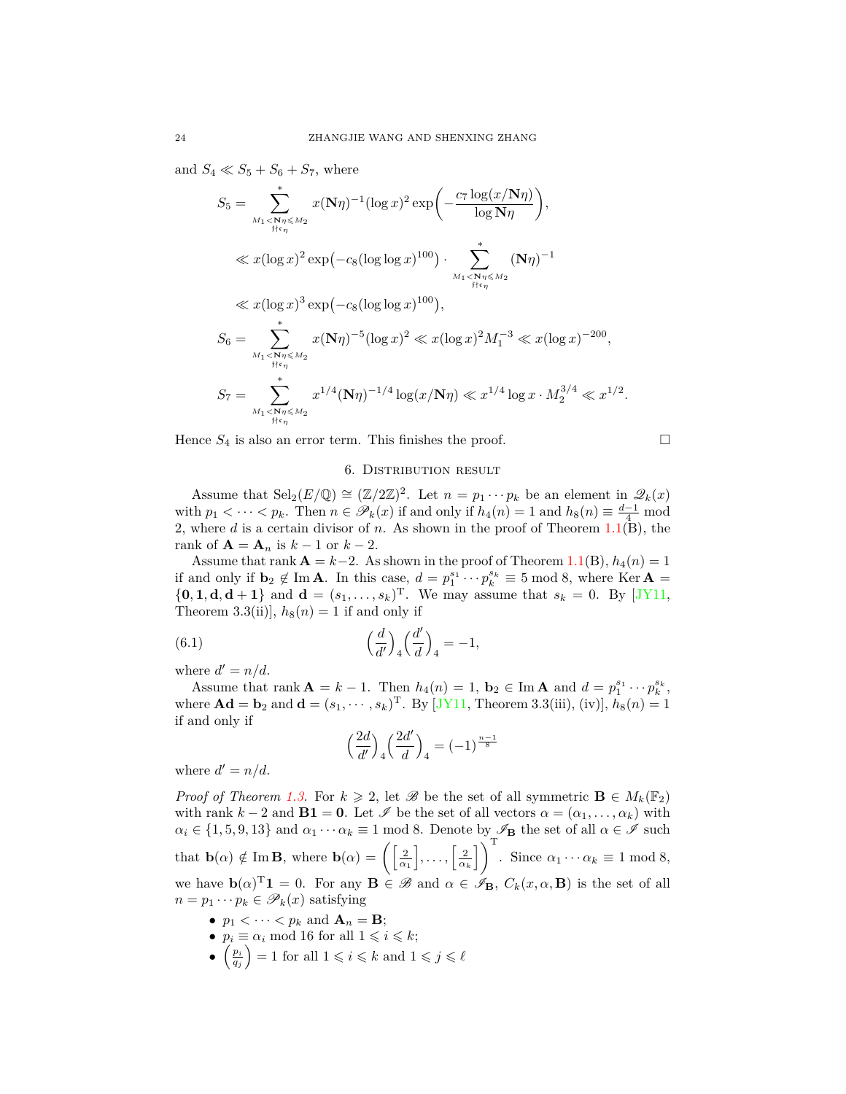and  $S_4 \ll S_5 + S_6 + S_7$ , where

$$
S_5 = \sum_{M_1 < \mathbf{N}\eta \le M_2}^* x(\mathbf{N}\eta)^{-1} (\log x)^2 \exp\left(-\frac{c_7 \log(x/\mathbf{N}\eta)}{\log \mathbf{N}\eta}\right),
$$
\n
$$
\ll x(\log x)^2 \exp\left(-c_8 (\log \log x)^{100}\right) \cdot \sum_{M_1 < \mathbf{N}\eta \le M_2}^* (\mathbf{N}\eta)^{-1}
$$
\n
$$
\ll x(\log x)^3 \exp\left(-c_8 (\log \log x)^{100}\right),
$$
\n
$$
S_6 = \sum_{M_1 < \mathbf{N}\eta \le M_2}^* x(\mathbf{N}\eta)^{-5} (\log x)^2 \ll x(\log x)^2 M_1^{-3} \ll x(\log x)^{-200},
$$
\n
$$
S_7 = \sum_{M_1 < \mathbf{N}\eta \le M_2}^* x^{1/4} (\mathbf{N}\eta)^{-1/4} \log(x/\mathbf{N}\eta) \ll x^{1/4} \log x \cdot M_2^{3/4} \ll x^{1/2}.
$$

Hence  $S_4$  is also an error term. This finishes the proof.

$$
\Box
$$

### 6. DISTRIBUTION RESULT

<span id="page-23-0"></span>Assume that  $\text{Sel}_2(E/\mathbb{Q}) \cong (\mathbb{Z}/2\mathbb{Z})^2$ . Let  $n = p_1 \cdots p_k$  be an element in  $\mathscr{Q}_k(x)$ with  $p_1 < \cdots < p_k$ . Then  $n \in \mathcal{P}_k(x)$  if and only if  $h_4(n) = 1$  and  $h_8(n) \equiv \frac{d-1}{4} \mod 4$ 2, where *d* is a certain divisor of *n*. As shown in the proof of Theorem [1.1\(](#page-1-1)B), the rank of  $\mathbf{A} = \mathbf{A}_n$  is  $k - 1$  or  $k - 2$ .

Assume that rank  $\mathbf{A} = k-2$ . As shown in the proof of Theorem [1.1](#page-1-1)(B),  $h_4(n) = 1$ if and only if  $\mathbf{b}_2 \notin \text{Im } \mathbf{A}$ . In this case,  $d = p_1^{s_1} \cdots p_k^{s_k} \equiv 5 \mod 8$ , where Ker  $\mathbf{A} =$  $\{0, 1, d, d+1\}$  $\{0, 1, d, d+1\}$  $\{0, 1, d, d+1\}$  and  $d = (s_1, ..., s_k)^T$ . We may assume that  $s_k = 0$ . By [[JY11,](#page-25-13) Theorem 3.3(ii)],  $h_8(n) = 1$  if and only if

(6.1) 
$$
\left(\frac{d}{d'}\right)_4 \left(\frac{d'}{d}\right)_4 = -1,
$$

where  $d' = n/d$ .

Assume that rank  $A = k - 1$ . Then  $h_4(n) = 1$ ,  $b_2 \in \text{Im } A$  and  $d = p_1^{s_1} \cdots p_k^{s_k}$ , where  $\mathbf{Ad} = \mathbf{b}_2$  and  $\mathbf{d} = (s_1, \dots, s_k)$ <sup>T</sup>. By [[JY11](#page-25-13), Theorem 3.3(iii), (iv)],  $h_8(n) = 1$ if and only if

<span id="page-23-1"></span>
$$
\left(\frac{2d}{d'}\right)_4 \left(\frac{2d'}{d}\right)_4 = (-1)^{\frac{n-1}{8}}
$$

where  $d' = n/d$ .

*Proof of Theorem [1.3.](#page-2-2)* For  $k \geq 2$ , let  $\mathscr{B}$  be the set of all symmetric  $\mathbf{B} \in M_k(\mathbb{F}_2)$ with rank  $k - 2$  and  $\mathbf{B1} = \mathbf{0}$ . Let  $\mathscr I$  be the set of all vectors  $\alpha = (\alpha_1, \dots, \alpha_k)$  with  $\alpha_i \in \{1, 5, 9, 13\}$  and  $\alpha_1 \cdots \alpha_k \equiv 1 \mod 8$ . Denote by  $\mathscr{I}_B$  the set of all  $\alpha \in \mathscr{I}$  such that  $\mathbf{b}(\alpha) \notin \text{Im } \mathbf{B}$ , where  $\mathbf{b}(\alpha) = \left( \left[ \frac{2}{\alpha_1}, \ldots, \left[ \frac{2}{\alpha_k} \right] \right)^{\mathrm{T}} \right)$ . Since  $\alpha_1 \cdots \alpha_k \equiv 1 \mod 8$ , we have  $\mathbf{b}(\alpha)^{\mathrm{T}}\mathbf{1} = 0$ . For any  $\mathbf{B} \in \mathscr{B}$  and  $\alpha \in \mathscr{I}_{\mathbf{B}}$ ,  $C_k(x, \alpha, \mathbf{B})$  is the set of all  $n = p_1 \cdots p_k \in \mathscr{P}_k(x)$  satisfying

- $p_1 < \cdots < p_k$  and  $\mathbf{A}_n = \mathbf{B}$ ;
- $p_i \equiv \alpha_i \mod 16$  for all  $1 \leq i \leq k$ ;
- $\bullet$   $\left(\frac{p_i}{q_j}\right) = 1$  for all  $1 \leqslant i \leqslant k$  and  $1 \leqslant j \leqslant \ell$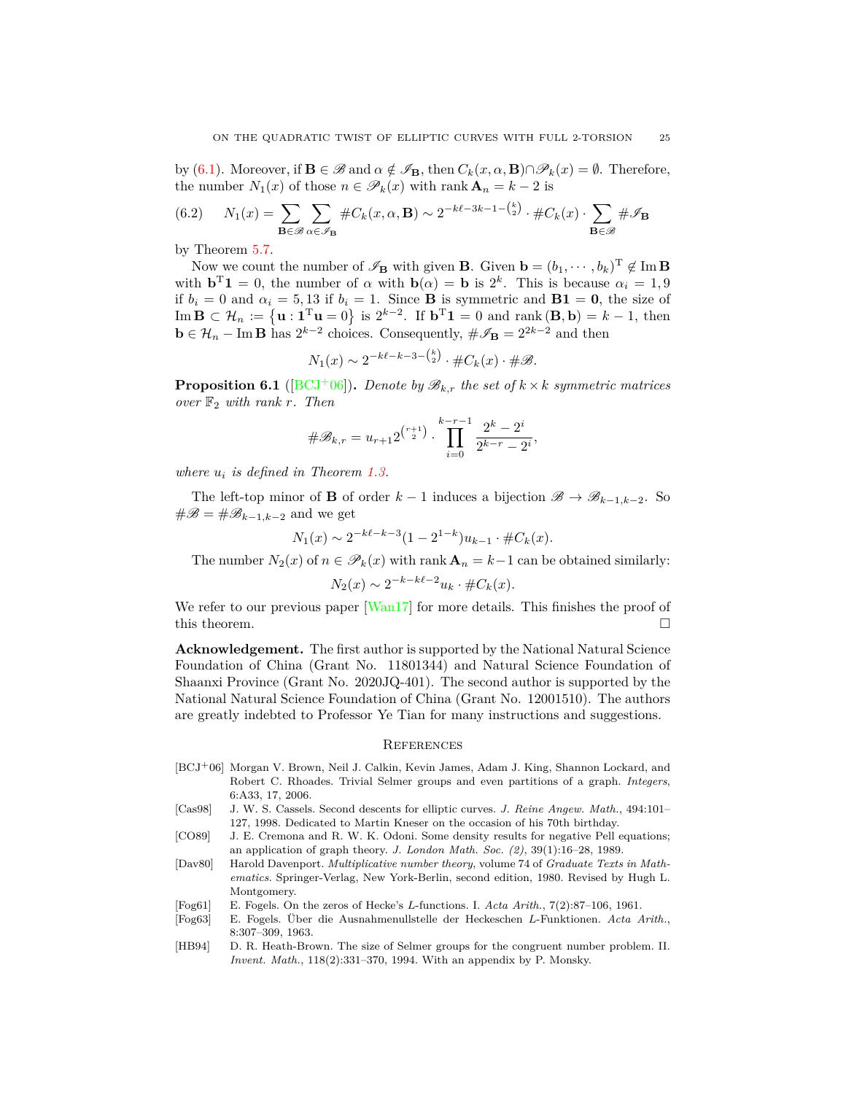by [\(6.1](#page-23-1)). Moreover, if  $\mathbf{B} \in \mathcal{B}$  and  $\alpha \notin \mathcal{F}_{\mathbf{B}}$ , then  $C_k(x, \alpha, \mathbf{B}) \cap \mathcal{P}_k(x) = \emptyset$ . Therefore, the number  $N_1(x)$  of those  $n \in \mathcal{P}_k(x)$  with rank  $\mathbf{A}_n = k - 2$  is

(6.2) 
$$
N_1(x) = \sum_{\mathbf{B} \in \mathcal{B}} \sum_{\alpha \in \mathcal{I}_{\mathbf{B}}} \# C_k(x, \alpha, \mathbf{B}) \sim 2^{-k\ell - 3k - 1 - \binom{k}{2}} \cdot \# C_k(x) \cdot \sum_{\mathbf{B} \in \mathcal{B}} \# \mathcal{I}_{\mathbf{B}}
$$

by Theorem [5.7](#page-18-3).

Now we count the number of  $\mathscr{I}_B$  with given **B**. Given  $\mathbf{b} = (b_1, \dots, b_k)^T \notin \text{Im } \mathbf{B}$ with  $\mathbf{b}^T \mathbf{1} = 0$ , the number of  $\alpha$  with  $\mathbf{b}(\alpha) = \mathbf{b}$  is  $2^k$ . This is because  $\alpha_i = 1, 9$ if  $b_i = 0$  and  $\alpha_i = 5, 13$  if  $b_i = 1$ . Since **B** is symmetric and **B1** = **0**, the size of  $\text{Im } \mathbf{B} \subset \mathcal{H}_n := \{ \mathbf{u} : \mathbf{1}^{\mathrm{T}} \mathbf{u} = 0 \}$  is  $2^{k-2}$ . If  $\mathbf{b}^{\mathrm{T}} \mathbf{1} = 0$  and  $\text{rank}(\mathbf{B}, \mathbf{b}) = k - 1$ , then **b** ∈  $\mathcal{H}_n$  − Im **B** has  $2^{k-2}$  choices. Consequently,  $\#\mathscr{I}_B = 2^{2k-2}$  and then

$$
N_1(x) \sim 2^{-k\ell - k - 3 - \binom{k}{2}} \cdot \#C_k(x) \cdot \# \mathcal{B}.
$$

**Proposition 6.1** ([[BCJ](#page-24-7)<sup>+</sup>06]). *Denote by*  $\mathcal{B}_{k,r}$  *the set of*  $k \times k$  *symmetric matrices over* F<sup>2</sup> *with rank r. Then*

$$
\#\mathscr{B}_{k,r} = u_{r+1} 2^{\binom{r+1}{2}} \cdot \prod_{i=0}^{k-r-1} \frac{2^k - 2^i}{2^{k-r} - 2^i},
$$

*where u<sup>i</sup> is defined in Theorem [1.3.](#page-2-2)*

The left-top minor of **B** of order  $k-1$  induces a bijection  $\mathscr{B} \to \mathscr{B}_{k-1,k-2}$ . So  $\#\mathscr{B} = \#\mathscr{B}_{k-1,k-2}$  and we get

$$
N_1(x) \sim 2^{-k\ell - k - 3} (1 - 2^{1-k}) u_{k-1} \cdot \#C_k(x).
$$

The number  $N_2(x)$  of  $n \in \mathcal{P}_k(x)$  with rank  $\mathbf{A}_n = k-1$  can be obtained similarly:

$$
N_2(x) \sim 2^{-k-k\ell-2} u_k \cdot \#C_k(x).
$$

We refer to our previous paper [\[Wan17\]](#page-25-14) for more details. This finishes the proof of this theorem.  $\Box$ 

**Acknowledgement.** The first author is supported by the National Natural Science Foundation of China (Grant No. 11801344) and Natural Science Foundation of Shaanxi Province (Grant No. 2020JQ-401). The second author is supported by the National Natural Science Foundation of China (Grant No. 12001510). The authors are greatly indebted to Professor Ye Tian for many instructions and suggestions.

### <span id="page-24-0"></span>**REFERENCES**

- <span id="page-24-7"></span>[BCJ+06] Morgan V. Brown, Neil J. Calkin, Kevin James, Adam J. King, Shannon Lockard, and Robert C. Rhoades. Trivial Selmer groups and even partitions of a graph. *Integers*, 6:A33, 17, 2006.
- <span id="page-24-2"></span>[Cas98] J. W. S. Cassels. Second descents for elliptic curves. *J. Reine Angew. Math.*, 494:101– 127, 1998. Dedicated to Martin Kneser on the occasion of his 70th birthday.
- <span id="page-24-1"></span>[CO89] J. E. Cremona and R. W. K. Odoni. Some density results for negative Pell equations; an application of graph theory. *J. London Math. Soc. (2)*, 39(1):16–28, 1989.
- <span id="page-24-4"></span>[Dav80] Harold Davenport. *Multiplicative number theory*, volume 74 of *Graduate Texts in Mathematics*. Springer-Verlag, New York-Berlin, second edition, 1980. Revised by Hugh L. Montgomery.
- <span id="page-24-5"></span>[Fog61] E. Fogels. On the zeros of Hecke's *L*-functions. I. *Acta Arith.*, 7(2):87–106, 1961.
- <span id="page-24-6"></span>[Fog63] E. Fogels. Über die Ausnahmenullstelle der Heckeschen *L*-Funktionen. *Acta Arith.*, 8:307–309, 1963.
- <span id="page-24-3"></span>[HB94] D. R. Heath-Brown. The size of Selmer groups for the congruent number problem. II. *Invent. Math.*, 118(2):331–370, 1994. With an appendix by P. Monsky.